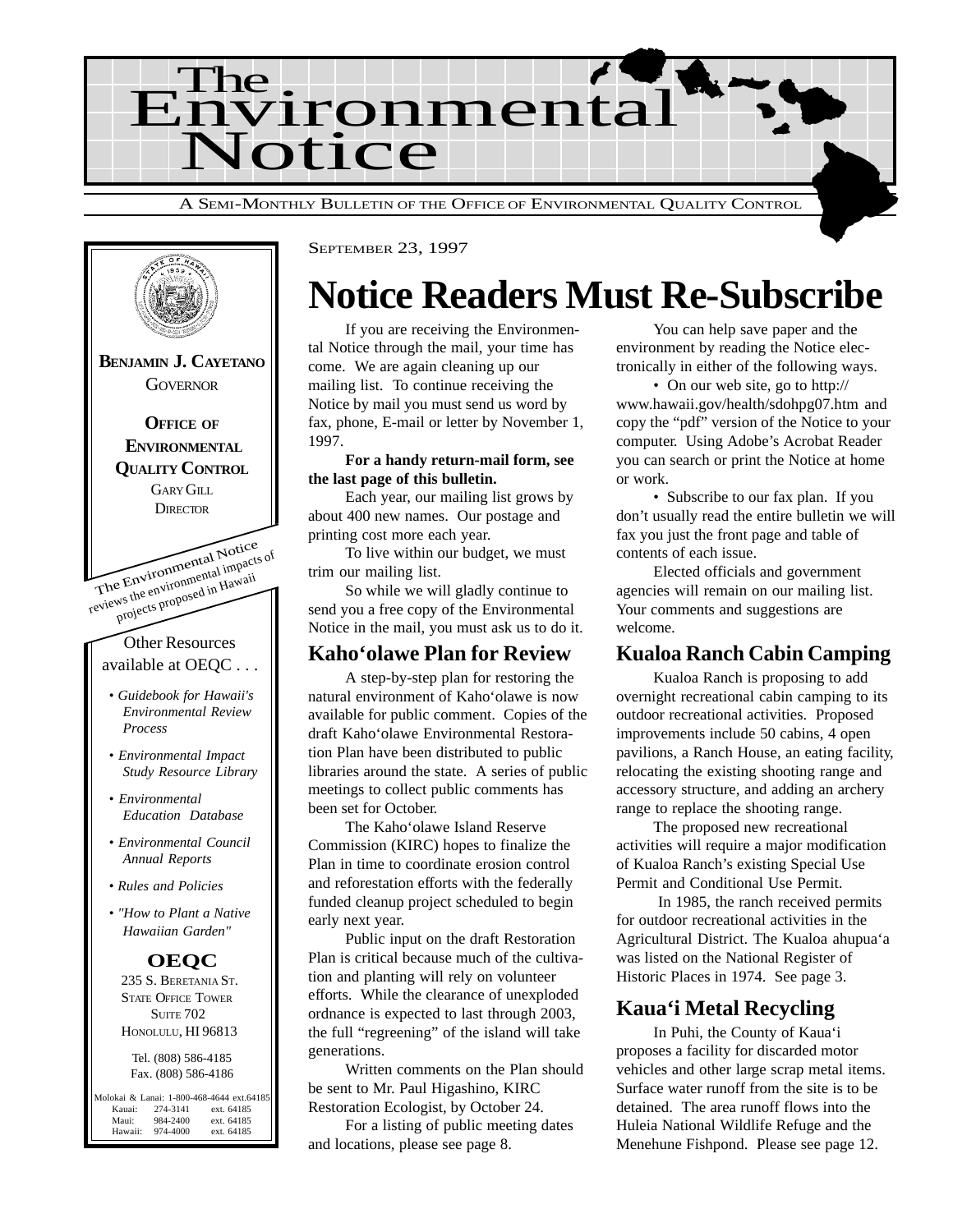



### **Notice Readers Must Re-Subscribe**

If you are receiving the Environmental Notice through the mail, your time has come. We are again cleaning up our mailing list. To continue receiving the Notice by mail you must send us word by fax, phone, E-mail or letter by November 1, 1997.

#### **For a handy return-mail form, see the last page of this bulletin.**

Each year, our mailing list grows by about 400 new names. Our postage and printing cost more each year.

To live within our budget, we must trim our mailing list.

So while we will gladly continue to send you a free copy of the Environmental Notice in the mail, you must ask us to do it.

#### **Kaho'olawe Plan for Review**

A step-by-step plan for restoring the natural environment of Kaho'olawe is now available for public comment. Copies of the draft Kaho'olawe Environmental Restoration Plan have been distributed to public libraries around the state. A series of public meetings to collect public comments has been set for October.

The Kaho'olawe Island Reserve Commission (KIRC) hopes to finalize the Plan in time to coordinate erosion control and reforestation efforts with the federally funded cleanup project scheduled to begin early next year.

Public input on the draft Restoration Plan is critical because much of the cultivation and planting will rely on volunteer efforts. While the clearance of unexploded ordnance is expected to last through 2003, the full "regreening" of the island will take generations.

Written comments on the Plan should be sent to Mr. Paul Higashino, KIRC Restoration Ecologist, by October 24.

For a listing of public meeting dates and locations, please see page 8.

You can help save paper and the environment by reading the Notice electronically in either of the following ways.

• On our web site, go to http:// www.hawaii.gov/health/sdohpg07.htm and copy the "pdf" version of the Notice to your computer. Using Adobe's Acrobat Reader you can search or print the Notice at home or work.

• Subscribe to our fax plan. If you don't usually read the entire bulletin we will fax you just the front page and table of contents of each issue.

Elected officials and government agencies will remain on our mailing list. Your comments and suggestions are welcome.

#### **Kualoa Ranch Cabin Camping**

Kualoa Ranch is proposing to add overnight recreational cabin camping to its outdoor recreational activities. Proposed improvements include 50 cabins, 4 open pavilions, a Ranch House, an eating facility, relocating the existing shooting range and accessory structure, and adding an archery range to replace the shooting range.

The proposed new recreational activities will require a major modification of Kualoa Ranch's existing Special Use Permit and Conditional Use Permit.

 In 1985, the ranch received permits for outdoor recreational activities in the Agricultural District. The Kualoa ahupua'a was listed on the National Register of Historic Places in 1974. See page 3.

#### **Kaua'i Metal Recycling**

In Puhi, the County of Kaua'i proposes a facility for discarded motor vehicles and other large scrap metal items. Surface water runoff from the site is to be detained. The area runoff flows into the Huleia National Wildlife Refuge and the Menehune Fishpond. Please see page 12.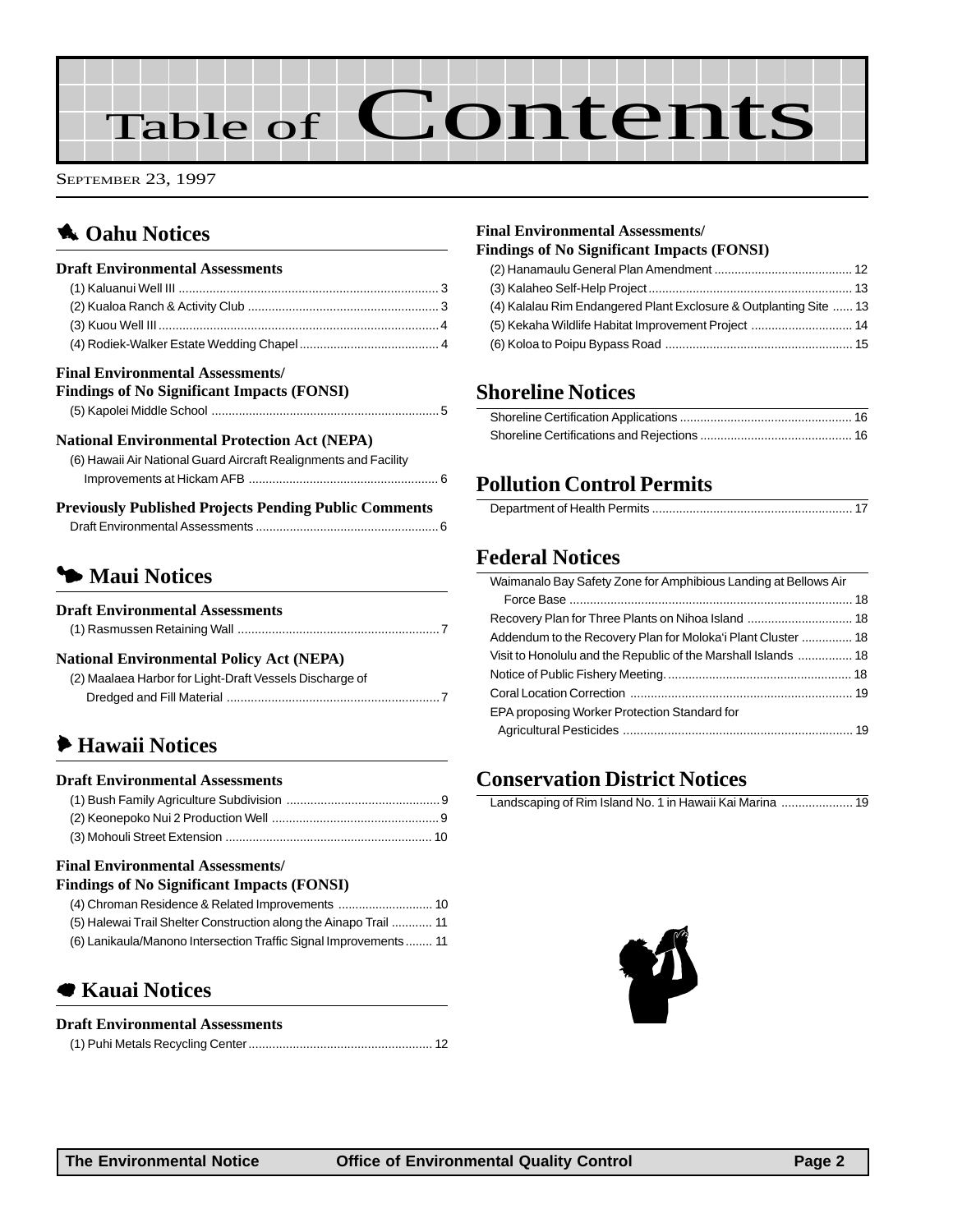# Table of Contents

SEPTEMBER 23, 1997

#### **1** Oahu Notices

| <b>Draft Environmental Assessments</b>                                                       |  |
|----------------------------------------------------------------------------------------------|--|
|                                                                                              |  |
|                                                                                              |  |
|                                                                                              |  |
|                                                                                              |  |
| <b>Final Environmental Assessments/</b><br><b>Findings of No Significant Impacts (FONSI)</b> |  |
|                                                                                              |  |

#### **National Environmental Protection Act (NEPA)**

| (6) Hawaii Air National Guard Aircraft Realignments and Facility                                                                                                                                          |
|-----------------------------------------------------------------------------------------------------------------------------------------------------------------------------------------------------------|
|                                                                                                                                                                                                           |
| $\mathbf{D}_{11}$ and another $\mathbf{D}_{11}$ but $\mathbf{D}_{21}$ and $\mathbf{D}_{31}$ and $\mathbf{D}_{41}$ and $\mathbf{D}_{41}$ and $\mathbf{D}_{51}$ and $\mathbf{D}_{61}$ and $\mathbf{D}_{71}$ |

| <b>Previously Published Projects Pending Public Comments</b> |  |
|--------------------------------------------------------------|--|
|                                                              |  |

#### 3 **Maui Notices**

| <b>Draft Environmental Assessments</b> |  |
|----------------------------------------|--|
|----------------------------------------|--|

|--|

#### **National Environmental Policy Act (NEPA)**

| (2) Maalaea Harbor for Light-Draft Vessels Discharge of |
|---------------------------------------------------------|
|                                                         |

#### 6 **[Hawaii Notices](#page-9-0)**

#### **Draft Environmental Assessments**

#### **Final Environmental Assessments/**

| <b>Findings of No Significant Impacts (FONSI)</b>                 |  |
|-------------------------------------------------------------------|--|
|                                                                   |  |
| (5) Halewai Trail Shelter Construction along the Ainapo Trail  11 |  |
| (6) Lanikaula/Manono Intersection Traffic Signal Improvements 11  |  |

#### 7 **[Kauai Notices](#page-12-0)**

#### **Draft Environmental Assessments**

#### **Final Environmental Assessments/**

| <b>Findings of No Significant Impacts (FONSI)</b>                 |  |
|-------------------------------------------------------------------|--|
|                                                                   |  |
|                                                                   |  |
| (4) Kalalau Rim Endangered Plant Exclosure & Outplanting Site  13 |  |
| (5) Kekaha Wildlife Habitat Improvement Project  14               |  |
|                                                                   |  |

#### **Shoreline Notices**

#### **Pollution Control Permits**

|--|

#### **Federal Notices**

| Waimanalo Bay Safety Zone for Amphibious Landing at Bellows Air |  |
|-----------------------------------------------------------------|--|
|                                                                 |  |
|                                                                 |  |
| Addendum to the Recovery Plan for Moloka'i Plant Cluster  18    |  |
| Visit to Honolulu and the Republic of the Marshall Islands  18  |  |
|                                                                 |  |
|                                                                 |  |
| EPA proposing Worker Protection Standard for                    |  |
|                                                                 |  |
|                                                                 |  |

#### **[Conservation District Notices](#page--1-0)**

Landscaping of Rim Island No. 1 in Hawaii Kai Marina ..................... 19

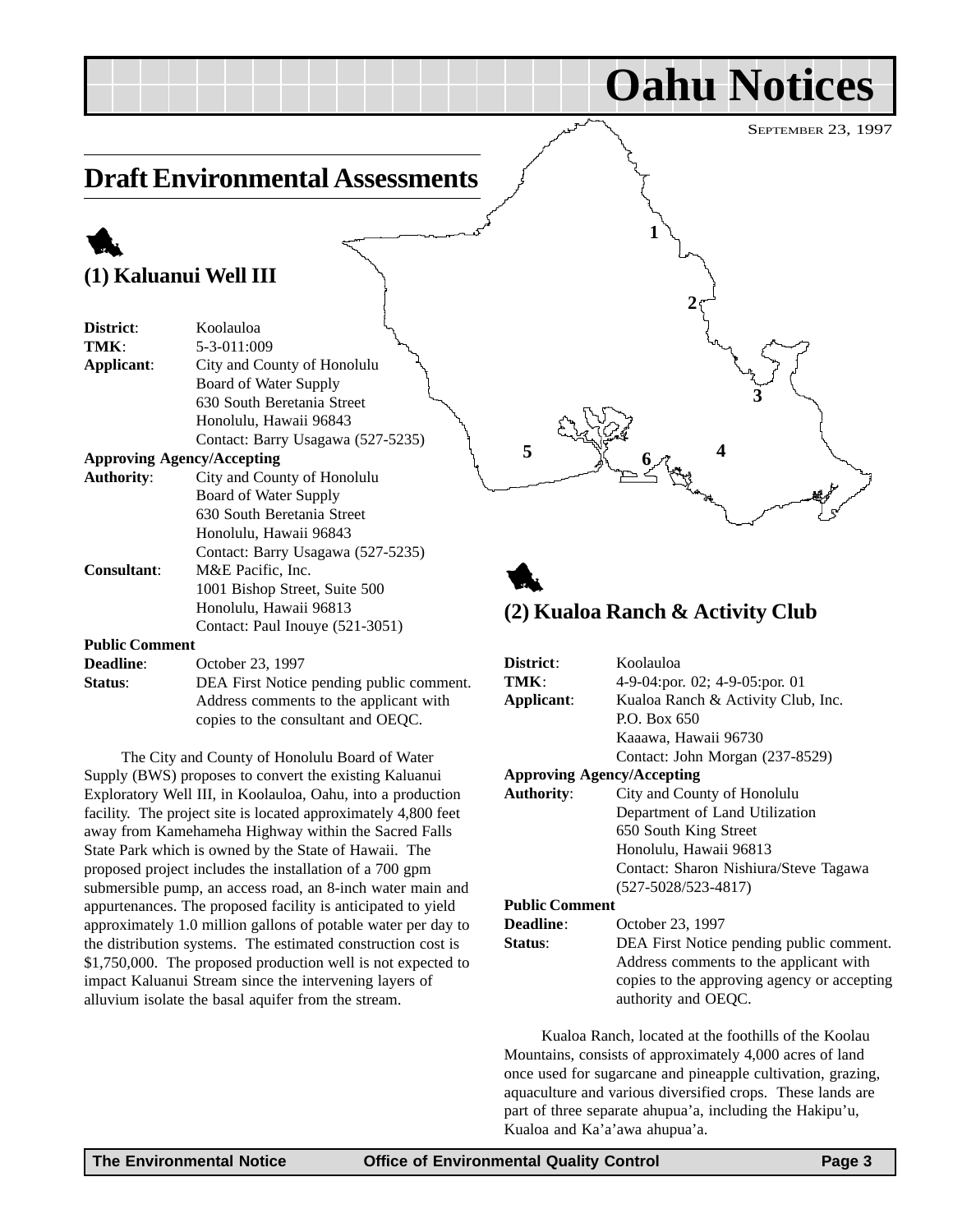**Oahu Notices**

**3**

### **Draft Environmental Assessments**

### 1 **(1) Kaluanui Well III**

| District:                                               | Koolauloa                         |
|---------------------------------------------------------|-----------------------------------|
| TMK:                                                    | 5-3-011:009                       |
| Applicant:                                              | City and County of Honolulu       |
|                                                         | Board of Water Supply             |
|                                                         | 630 South Beretania Street        |
|                                                         | Honolulu, Hawaii 96843            |
|                                                         | Contact: Barry Usagawa (527-5235) |
|                                                         | <b>Approving Agency/Accepting</b> |
| <b>Authority:</b>                                       | City and County of Honolulu       |
|                                                         | Board of Water Supply             |
|                                                         | 630 South Beretania Street        |
|                                                         | Honolulu, Hawaii 96843            |
|                                                         | Contact: Barry Usagawa (527-5235) |
| <b>Consultant:</b>                                      | M&E Pacific, Inc.                 |
|                                                         | 1001 Bishop Street, Suite 500     |
|                                                         | Honolulu, Hawaii 96813            |
|                                                         | Contact: Paul Inouye (521-3051)   |
| <b>Public Comment</b>                                   |                                   |
| $\mathbf{D}_{\text{new}}$ and $\mathbf{D}_{\text{new}}$ | 0.441333232331007                 |

| <b>Deadline:</b> | October 23, 1997                         |
|------------------|------------------------------------------|
| <b>Status:</b>   | DEA First Notice pending public comment. |
|                  | Address comments to the applicant with   |
|                  | copies to the consultant and OEQC.       |

The City and County of Honolulu Board of Water Supply (BWS) proposes to convert the existing Kaluanui Exploratory Well III, in Koolauloa, Oahu, into a production facility. The project site is located approximately 4,800 feet away from Kamehameha Highway within the Sacred Falls State Park which is owned by the State of Hawaii. The proposed project includes the installation of a 700 gpm submersible pump, an access road, an 8-inch water main and appurtenances. The proposed facility is anticipated to yield approximately 1.0 million gallons of potable water per day to the distribution systems. The estimated construction cost is \$1,750,000. The proposed production well is not expected to impact Kaluanui Stream since the intervening layers of alluvium isolate the basal aquifer from the stream.

### 1 **(2) Kualoa Ranch & Activity Club**

5 **4 6 4 6 4** 

**1**

**2**

| District:             | Koolauloa                                                          |
|-----------------------|--------------------------------------------------------------------|
| TMK:                  | 4-9-04:por. 02; 4-9-05:por. 01                                     |
| Applicant:            | Kualoa Ranch & Activity Club, Inc.                                 |
|                       | P.O. Box 650                                                       |
|                       | Kaaawa, Hawaii 96730                                               |
|                       | Contact: John Morgan (237-8529)                                    |
|                       | <b>Approving Agency/Accepting</b>                                  |
| <b>Authority:</b>     | City and County of Honolulu                                        |
|                       | Department of Land Utilization                                     |
|                       | 650 South King Street                                              |
|                       | Honolulu, Hawaii 96813                                             |
|                       | Contact: Sharon Nishiura/Steve Tagawa                              |
|                       | $(527 - 5028 / 523 - 4817)$                                        |
| <b>Public Comment</b> |                                                                    |
| <b>Deadline:</b>      | October 23, 1997                                                   |
| Status:               | DEA First Notice pending public comment.                           |
|                       | Address comments to the applicant with                             |
|                       | copies to the approving agency or accepting<br>authority and OEQC. |

Kualoa Ranch, located at the foothills of the Koolau Mountains, consists of approximately 4,000 acres of land once used for sugarcane and pineapple cultivation, grazing, aquaculture and various diversified crops. These lands are part of three separate ahupua'a, including the Hakipu'u, Kualoa and Ka'a'awa ahupua'a.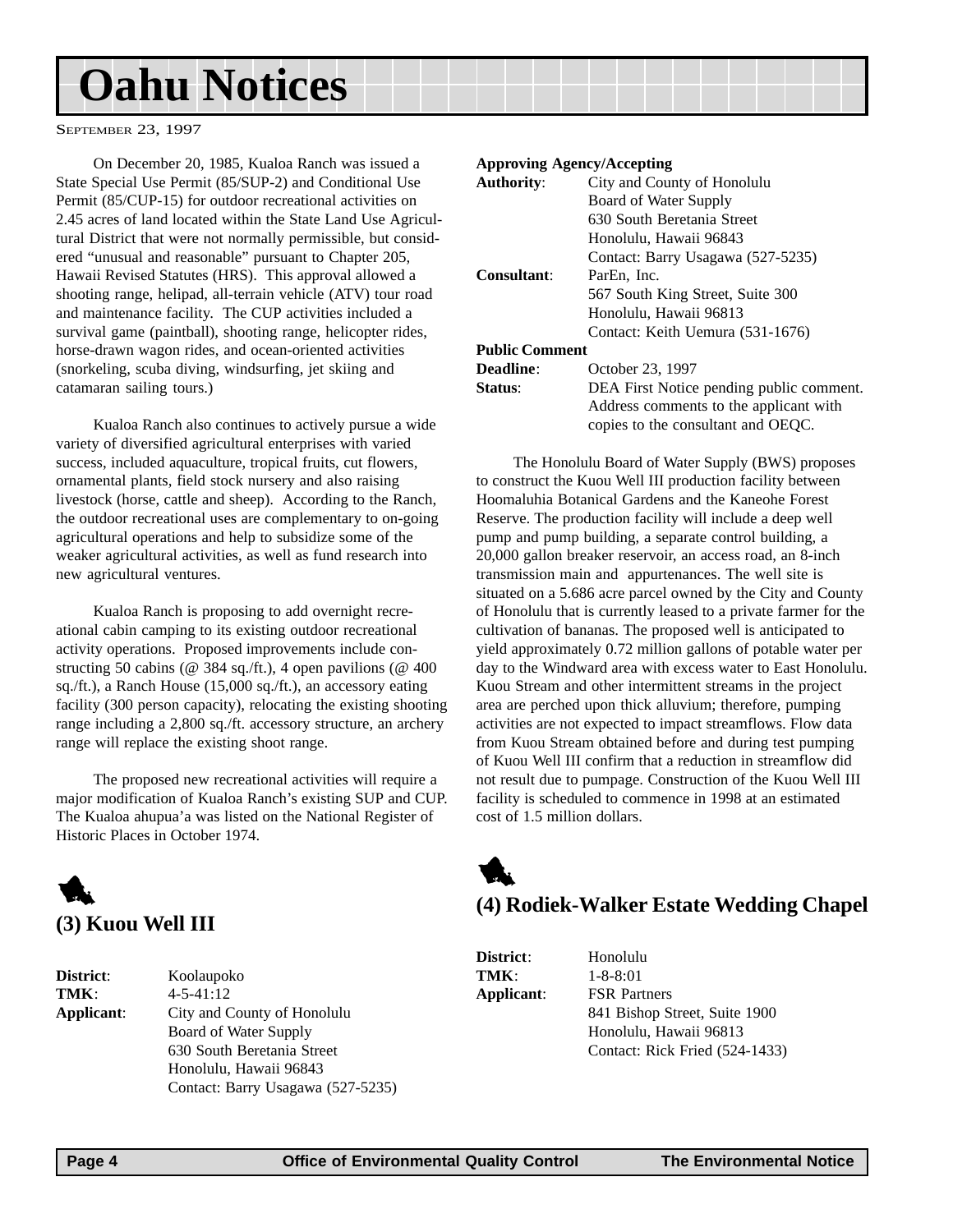## <span id="page-3-0"></span>**Oahu Notices**

SEPTEMBER 23, 1997

On December 20, 1985, Kualoa Ranch was issued a State Special Use Permit (85/SUP-2) and Conditional Use Permit (85/CUP-15) for outdoor recreational activities on 2.45 acres of land located within the State Land Use Agricultural District that were not normally permissible, but considered "unusual and reasonable" pursuant to Chapter 205, Hawaii Revised Statutes (HRS). This approval allowed a shooting range, helipad, all-terrain vehicle (ATV) tour road and maintenance facility. The CUP activities included a survival game (paintball), shooting range, helicopter rides, horse-drawn wagon rides, and ocean-oriented activities (snorkeling, scuba diving, windsurfing, jet skiing and catamaran sailing tours.)

Kualoa Ranch also continues to actively pursue a wide variety of diversified agricultural enterprises with varied success, included aquaculture, tropical fruits, cut flowers, ornamental plants, field stock nursery and also raising livestock (horse, cattle and sheep). According to the Ranch, the outdoor recreational uses are complementary to on-going agricultural operations and help to subsidize some of the weaker agricultural activities, as well as fund research into new agricultural ventures.

Kualoa Ranch is proposing to add overnight recreational cabin camping to its existing outdoor recreational activity operations. Proposed improvements include constructing 50 cabins (@ 384 sq./ft.), 4 open pavilions (@ 400 sq./ft.), a Ranch House (15,000 sq./ft.), an accessory eating facility (300 person capacity), relocating the existing shooting range including a 2,800 sq./ft. accessory structure, an archery range will replace the existing shoot range.

The proposed new recreational activities will require a major modification of Kualoa Ranch's existing SUP and CUP. The Kualoa ahupua'a was listed on the National Register of Historic Places in October 1974.



**District**: Koolaupoko **TMK**: 4-5-41:12 **Applicant**: City and County of Honolulu Board of Water Supply 630 South Beretania Street Honolulu, Hawaii 96843 Contact: Barry Usagawa (527-5235)

#### **Approving Agency/Accepting**

| <b>Authority:</b>     | City and County of Honolulu              |
|-----------------------|------------------------------------------|
|                       | Board of Water Supply                    |
|                       | 630 South Beretania Street               |
|                       | Honolulu, Hawaii 96843                   |
|                       | Contact: Barry Usagawa (527-5235)        |
| <b>Consultant:</b>    | ParEn, Inc.                              |
|                       | 567 South King Street, Suite 300         |
|                       | Honolulu, Hawaii 96813                   |
|                       | Contact: Keith Uemura (531-1676)         |
| <b>Public Comment</b> |                                          |
| <b>Deadline:</b>      | October 23, 1997                         |
| Status:               | DEA First Notice pending public comment. |
|                       | Address comments to the applicant with   |

copies to the consultant and OEQC.

The Honolulu Board of Water Supply (BWS) proposes to construct the Kuou Well III production facility between Hoomaluhia Botanical Gardens and the Kaneohe Forest Reserve. The production facility will include a deep well pump and pump building, a separate control building, a 20,000 gallon breaker reservoir, an access road, an 8-inch transmission main and appurtenances. The well site is situated on a 5.686 acre parcel owned by the City and County of Honolulu that is currently leased to a private farmer for the cultivation of bananas. The proposed well is anticipated to yield approximately 0.72 million gallons of potable water per day to the Windward area with excess water to East Honolulu. Kuou Stream and other intermittent streams in the project area are perched upon thick alluvium; therefore, pumping activities are not expected to impact streamflows. Flow data from Kuou Stream obtained before and during test pumping of Kuou Well III confirm that a reduction in streamflow did not result due to pumpage. Construction of the Kuou Well III facility is scheduled to commence in 1998 at an estimated cost of 1.5 million dollars.



#### **(4) Rodiek-Walker Estate Wedding Chapel**

**District**: Honolulu **TMK**: 1-8-8:01

**Applicant**: FSR Partners 841 Bishop Street, Suite 1900 Honolulu, Hawaii 96813 Contact: Rick Fried (524-1433)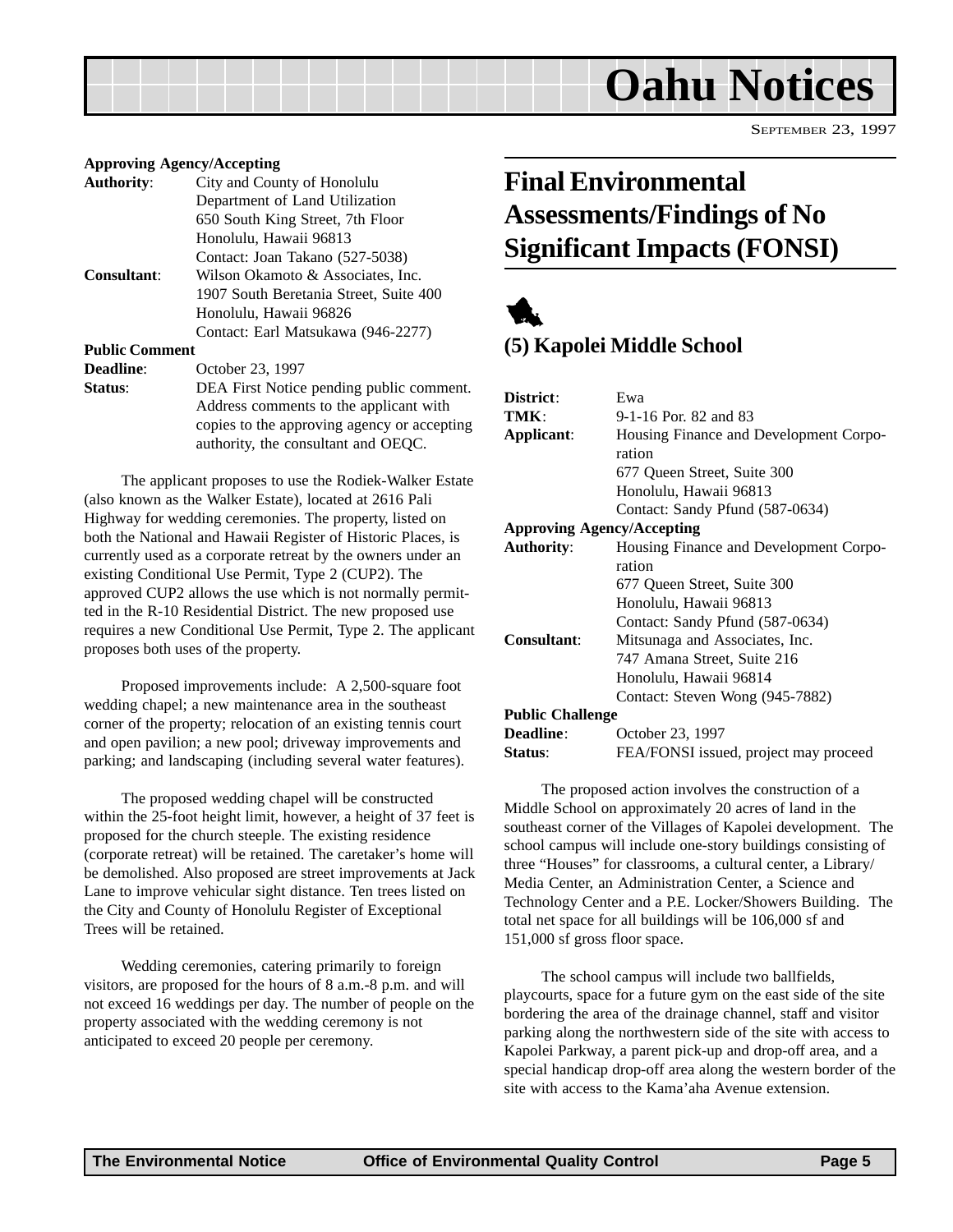<span id="page-4-0"></span>

#### **Approving Agency/Accepting Authority**: City and County of Honolulu Department of Land Utilization 650 South King Street, 7th Floor Honolulu, Hawaii 96813

Contact: Joan Takano (527-5038) **Consultant**: Wilson Okamoto & Associates, Inc. 1907 South Beretania Street, Suite 400 Honolulu, Hawaii 96826 Contact: Earl Matsukawa (946-2277)

**Public Comment**

| <b>Deadline:</b> | October 23, 1997                            |
|------------------|---------------------------------------------|
| Status:          | DEA First Notice pending public comment.    |
|                  | Address comments to the applicant with      |
|                  | copies to the approving agency or accepting |
|                  | authority, the consultant and OEQC.         |

The applicant proposes to use the Rodiek-Walker Estate (also known as the Walker Estate), located at 2616 Pali Highway for wedding ceremonies. The property, listed on both the National and Hawaii Register of Historic Places, is currently used as a corporate retreat by the owners under an existing Conditional Use Permit, Type 2 (CUP2). The approved CUP2 allows the use which is not normally permitted in the R-10 Residential District. The new proposed use requires a new Conditional Use Permit, Type 2. The applicant proposes both uses of the property.

Proposed improvements include: A 2,500-square foot wedding chapel; a new maintenance area in the southeast corner of the property; relocation of an existing tennis court and open pavilion; a new pool; driveway improvements and parking; and landscaping (including several water features).

The proposed wedding chapel will be constructed within the 25-foot height limit, however, a height of 37 feet is proposed for the church steeple. The existing residence (corporate retreat) will be retained. The caretaker's home will be demolished. Also proposed are street improvements at Jack Lane to improve vehicular sight distance. Ten trees listed on the City and County of Honolulu Register of Exceptional Trees will be retained.

Wedding ceremonies, catering primarily to foreign visitors, are proposed for the hours of 8 a.m.-8 p.m. and will not exceed 16 weddings per day. The number of people on the property associated with the wedding ceremony is not anticipated to exceed 20 people per ceremony.

### **Final Environmental Assessments/Findings of No Significant Impacts (FONSI)**



#### **(5) Kapolei Middle School**

| District:                         | Ewa                                    |
|-----------------------------------|----------------------------------------|
| TMK:                              | 9-1-16 Por. 82 and 83                  |
| Applicant:                        | Housing Finance and Development Corpo- |
|                                   | ration                                 |
|                                   | 677 Queen Street, Suite 300            |
|                                   | Honolulu, Hawaii 96813                 |
|                                   | Contact: Sandy Pfund (587-0634)        |
| <b>Approving Agency/Accepting</b> |                                        |
| <b>Authority:</b>                 | Housing Finance and Development Corpo- |
|                                   | ration                                 |
|                                   | 677 Queen Street, Suite 300            |
|                                   | Honolulu, Hawaii 96813                 |
|                                   | Contact: Sandy Pfund (587-0634)        |
| Consultant:                       | Mitsunaga and Associates, Inc.         |
|                                   | 747 Amana Street, Suite 216            |
|                                   | Honolulu, Hawaii 96814                 |
|                                   | Contact: Steven Wong (945-7882)        |
| <b>Public Challenge</b>           |                                        |
| <b>Deadline:</b>                  | October 23, 1997                       |
| Status:                           | FEA/FONSI issued, project may proceed  |

The proposed action involves the construction of a Middle School on approximately 20 acres of land in the southeast corner of the Villages of Kapolei development. The school campus will include one-story buildings consisting of three "Houses" for classrooms, a cultural center, a Library/ Media Center, an Administration Center, a Science and Technology Center and a P.E. Locker/Showers Building. The total net space for all buildings will be 106,000 sf and 151,000 sf gross floor space.

The school campus will include two ballfields, playcourts, space for a future gym on the east side of the site bordering the area of the drainage channel, staff and visitor parking along the northwestern side of the site with access to Kapolei Parkway, a parent pick-up and drop-off area, and a special handicap drop-off area along the western border of the site with access to the Kama'aha Avenue extension.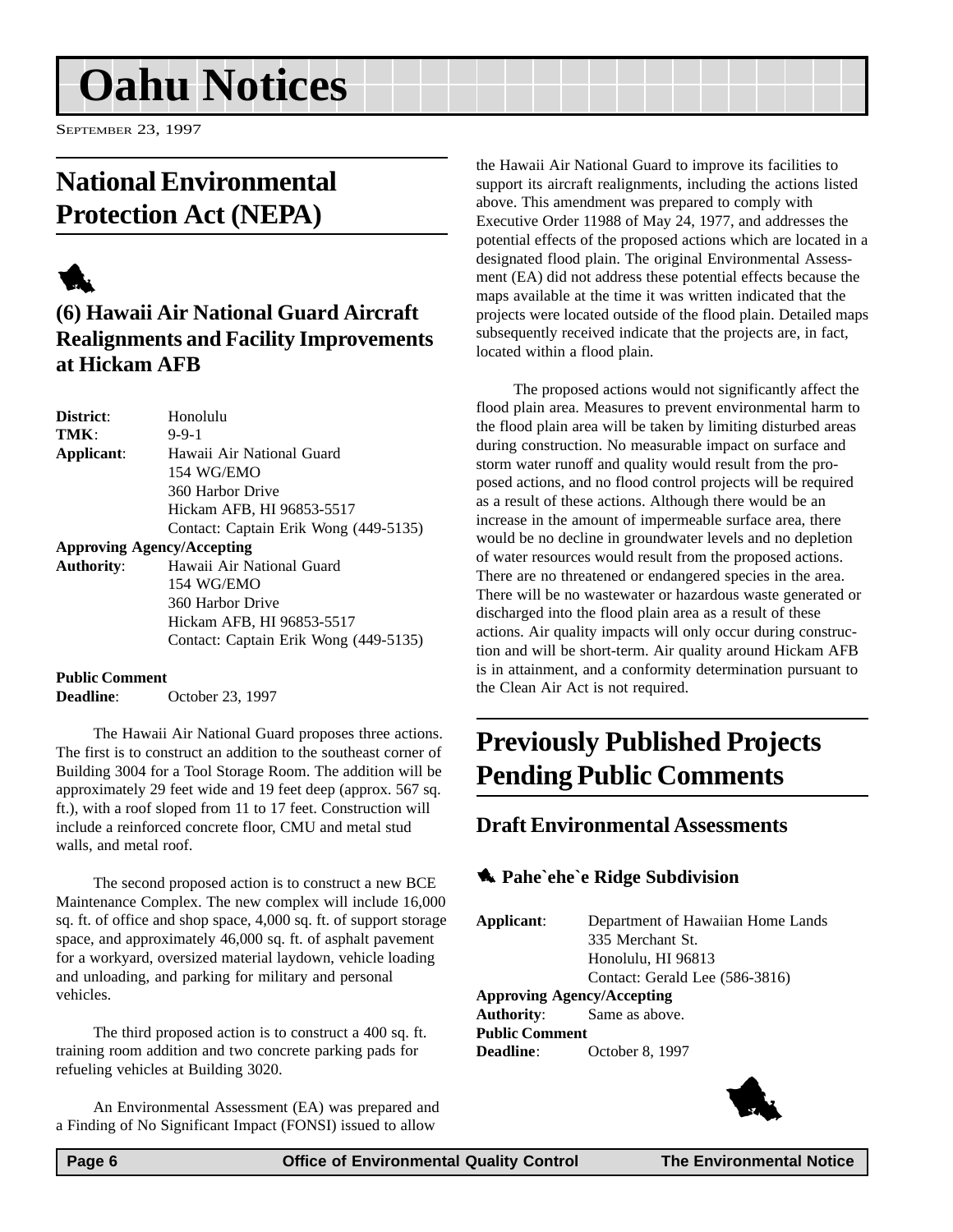## <span id="page-5-0"></span>**Oahu Notices**

SEPTEMBER 23, 1997

### **National Environmental Protection Act (NEPA)**

### 1

#### **(6) Hawaii Air National Guard Aircraft Realignments and Facility Improvements at Hickam AFB**

| District:         | Honolulu                              |
|-------------------|---------------------------------------|
| TMK:              | $9 - 9 - 1$                           |
| Applicant:        | Hawaii Air National Guard             |
|                   | 154 WG/EMO                            |
|                   | 360 Harbor Drive                      |
|                   | Hickam AFB, HI 96853-5517             |
|                   | Contact: Captain Erik Wong (449-5135) |
|                   | <b>Approving Agency/Accepting</b>     |
| <b>Authority:</b> | Hawaii Air National Guard             |
|                   | 154 WG/EMO                            |
|                   | 360 Harbor Drive                      |
|                   | Hickam AFB, HI 96853-5517             |
|                   | Contact: Captain Erik Wong (449-5135) |

#### **Public Comment**

**Deadline**: October 23, 1997

The Hawaii Air National Guard proposes three actions. The first is to construct an addition to the southeast corner of Building 3004 for a Tool Storage Room. The addition will be approximately 29 feet wide and 19 feet deep (approx. 567 sq. ft.), with a roof sloped from 11 to 17 feet. Construction will include a reinforced concrete floor, CMU and metal stud walls, and metal roof.

The second proposed action is to construct a new BCE Maintenance Complex. The new complex will include 16,000 sq. ft. of office and shop space, 4,000 sq. ft. of support storage space, and approximately 46,000 sq. ft. of asphalt pavement for a workyard, oversized material laydown, vehicle loading and unloading, and parking for military and personal vehicles.

The third proposed action is to construct a 400 sq. ft. training room addition and two concrete parking pads for refueling vehicles at Building 3020.

An Environmental Assessment (EA) was prepared and a Finding of No Significant Impact (FONSI) issued to allow

the Hawaii Air National Guard to improve its facilities to support its aircraft realignments, including the actions listed above. This amendment was prepared to comply with Executive Order 11988 of May 24, 1977, and addresses the potential effects of the proposed actions which are located in a designated flood plain. The original Environmental Assessment (EA) did not address these potential effects because the maps available at the time it was written indicated that the projects were located outside of the flood plain. Detailed maps subsequently received indicate that the projects are, in fact, located within a flood plain.

The proposed actions would not significantly affect the flood plain area. Measures to prevent environmental harm to the flood plain area will be taken by limiting disturbed areas during construction. No measurable impact on surface and storm water runoff and quality would result from the proposed actions, and no flood control projects will be required as a result of these actions. Although there would be an increase in the amount of impermeable surface area, there would be no decline in groundwater levels and no depletion of water resources would result from the proposed actions. There are no threatened or endangered species in the area. There will be no wastewater or hazardous waste generated or discharged into the flood plain area as a result of these actions. Air quality impacts will only occur during construction and will be short-term. Air quality around Hickam AFB is in attainment, and a conformity determination pursuant to the Clean Air Act is not required.

### **Previously Published Projects Pending Public Comments**

#### **Draft Environmental Assessments**

#### **1** Pahe`ehe`e Ridge Subdivision

**Applicant**: Department of Hawaiian Home Lands 335 Merchant St. Honolulu, HI 96813 Contact: Gerald Lee (586-3816) **Approving Agency/Accepting Authority**: Same as above. **Public Comment Deadline**: October 8, 1997

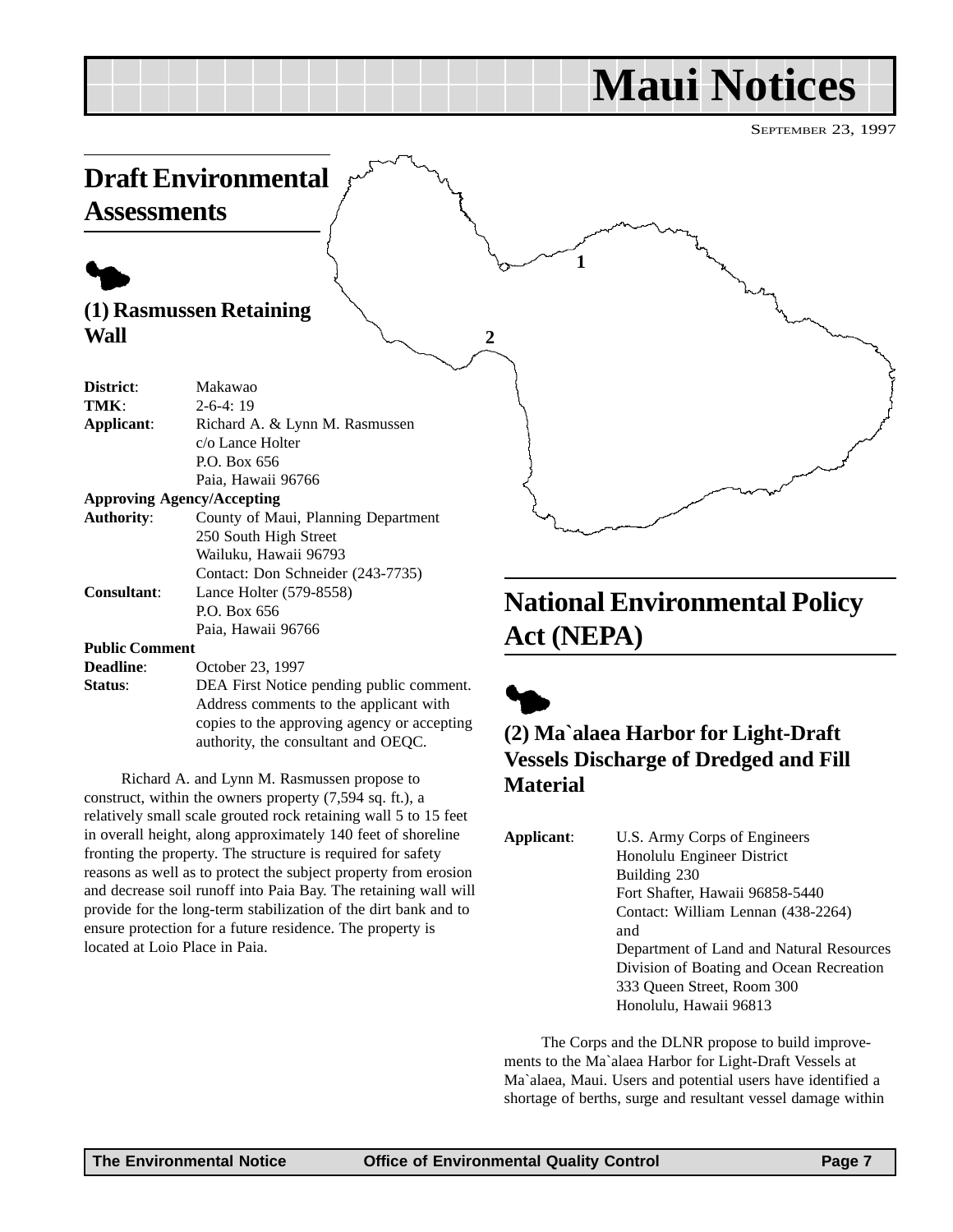## **Maui Notices**

SEPTEMBER 23, 1997

<span id="page-6-0"></span>

#### **(2) Ma`alaea Harbor for Light-Draft Vessels Discharge of Dredged and Fill Material**

| Applicant: | U.S. Army Corps of Engineers             |
|------------|------------------------------------------|
|            | Honolulu Engineer District               |
|            | Building 230                             |
|            | Fort Shafter, Hawaii 96858-5440          |
|            | Contact: William Lennan (438-2264)       |
|            | and                                      |
|            | Department of Land and Natural Resources |
|            | Division of Boating and Ocean Recreation |
|            | 333 Oueen Street, Room 300               |
|            | Honolulu, Hawaii 96813                   |

The Corps and the DLNR propose to build improvements to the Ma`alaea Harbor for Light-Draft Vessels at Ma`alaea, Maui. Users and potential users have identified a shortage of berths, surge and resultant vessel damage within

located at Loio Place in Paia.

authority, the consultant and OEQC.

Richard A. and Lynn M. Rasmussen propose to construct, within the owners property (7,594 sq. ft.), a relatively small scale grouted rock retaining wall 5 to 15 feet in overall height, along approximately 140 feet of shoreline fronting the property. The structure is required for safety reasons as well as to protect the subject property from erosion and decrease soil runoff into Paia Bay. The retaining wall will provide for the long-term stabilization of the dirt bank and to ensure protection for a future residence. The property is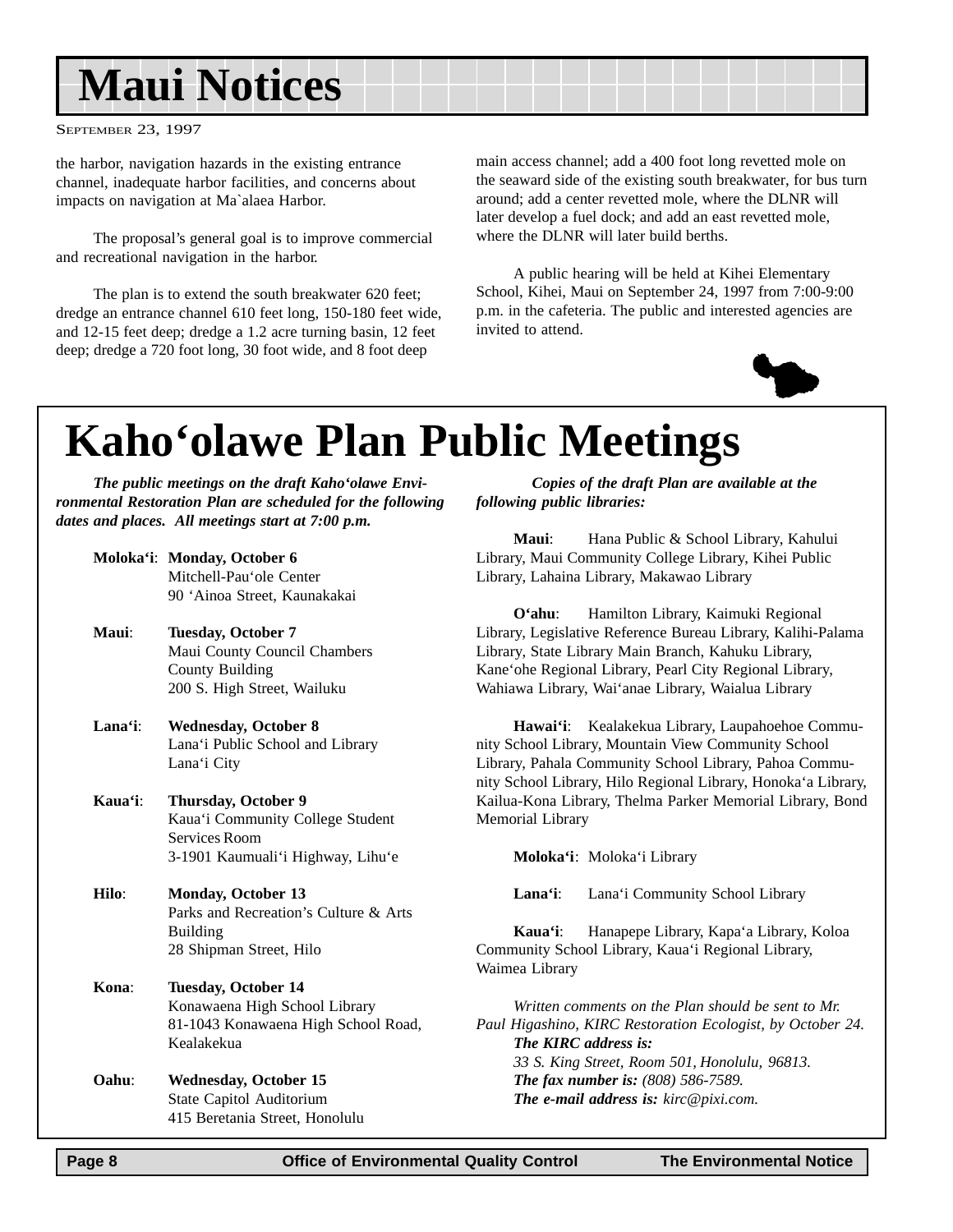## <span id="page-7-0"></span>**Maui Notices**

SEPTEMBER 23, 1997

the harbor, navigation hazards in the existing entrance channel, inadequate harbor facilities, and concerns about impacts on navigation at Ma`alaea Harbor.

The proposal's general goal is to improve commercial and recreational navigation in the harbor.

The plan is to extend the south breakwater 620 feet; dredge an entrance channel 610 feet long, 150-180 feet wide, and 12-15 feet deep; dredge a 1.2 acre turning basin, 12 feet deep; dredge a 720 foot long, 30 foot wide, and 8 foot deep

main access channel; add a 400 foot long revetted mole on the seaward side of the existing south breakwater, for bus turn around; add a center revetted mole, where the DLNR will later develop a fuel dock; and add an east revetted mole, where the DLNR will later build berths.

A public hearing will be held at Kihei Elementary School, Kihei, Maui on September 24, 1997 from 7:00-9:00 p.m. in the cafeteria. The public and interested agencies are invited to attend.



## **Kaho'olawe Plan Public Meetings**

*The public meetings on the draft Kaho'olawe Environmental Restoration Plan are scheduled for the following dates and places. All meetings start at 7:00 p.m.*

| Moloka'i: Monday, October 6  |
|------------------------------|
| Mitchell-Pau'ole Center      |
| 90 'Ainoa Street, Kaunakakai |

- **Maui**: **Tuesday, October 7** Maui County Council Chambers County Building 200 S. High Street, Wailuku
- **Lana'i**: **Wednesday, October 8** Lana'i Public School and Library Lana'i City
- **Kaua'i**: **Thursday, October 9** Kaua'i Community College Student Services Room 3-1901 Kaumuali'i Highway, Lihu'e
- **Hilo**: **Monday, October 13** Parks and Recreation's Culture & Arts Building 28 Shipman Street, Hilo
- **Kona**: **Tuesday, October 14** Konawaena High School Library 81-1043 Konawaena High School Road, Kealakekua
- **Oahu**: **Wednesday, October 15** State Capitol Auditorium 415 Beretania Street, Honolulu

*Copies of the draft Plan are available at the following public libraries:*

**Maui**: Hana Public & School Library, Kahului Library, Maui Community College Library, Kihei Public Library, Lahaina Library, Makawao Library

**O'ahu**: Hamilton Library, Kaimuki Regional Library, Legislative Reference Bureau Library, Kalihi-Palama Library, State Library Main Branch, Kahuku Library, Kane'ohe Regional Library, Pearl City Regional Library, Wahiawa Library, Wai'anae Library, Waialua Library

**Hawai'i**: Kealakekua Library, Laupahoehoe Community School Library, Mountain View Community School Library, Pahala Community School Library, Pahoa Community School Library, Hilo Regional Library, Honoka'a Library, Kailua-Kona Library, Thelma Parker Memorial Library, Bond Memorial Library

**Moloka'i**: Moloka'i Library

**Lana'i**: Lana'i Community School Library

**Kaua'i**: Hanapepe Library, Kapa'a Library, Koloa Community School Library, Kaua'i Regional Library, Waimea Library

*Written comments on the Plan should be sent to Mr. Paul Higashino, KIRC Restoration Ecologist, by October 24. The KIRC address is: 33 S. King Street, Room 501, Honolulu, 96813. The fax number is: (808) 586-7589. The e-mail address is: kirc@pixi.com.*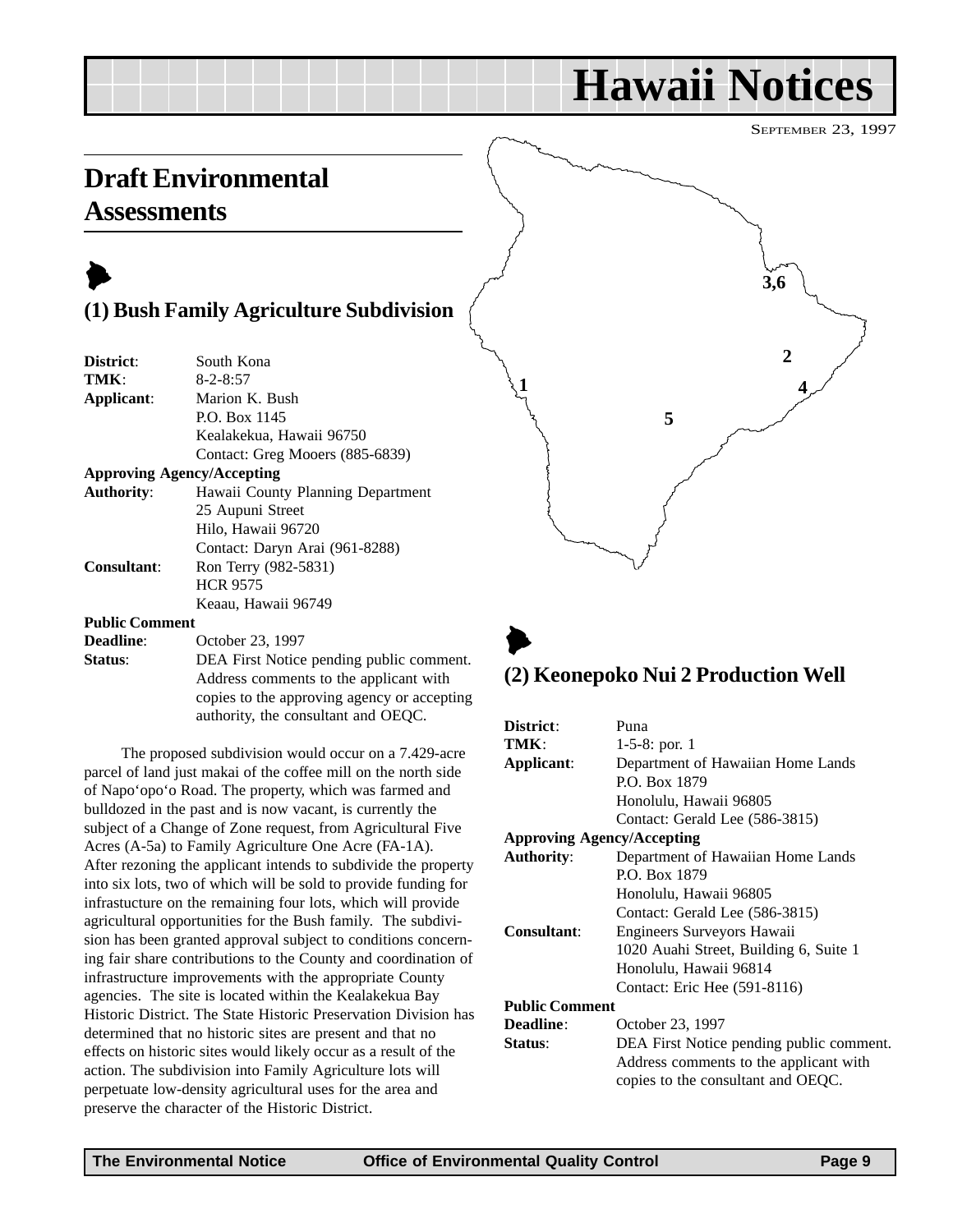## **Hawaii Notices**

SEPTEMBER 23, 1997

### **Draft Environmental Assessments**

### $\blacktriangleright$

#### **(1) Bush Family Agriculture Subdivision**

| District:                         | South Kona                               |
|-----------------------------------|------------------------------------------|
| TMK:                              | $8 - 2 - 8:57$                           |
| Applicant:                        | Marion K. Bush                           |
|                                   | P.O. Box 1145                            |
|                                   | Kealakekua, Hawaii 96750                 |
|                                   | Contact: Greg Mooers (885-6839)          |
| <b>Approving Agency/Accepting</b> |                                          |
| <b>Authority:</b>                 | Hawaii County Planning Department        |
|                                   | 25 Aupuni Street                         |
|                                   | Hilo, Hawaii 96720                       |
|                                   | Contact: Daryn Arai (961-8288)           |
| <b>Consultant:</b>                | Ron Terry (982-5831)                     |
|                                   | <b>HCR 9575</b>                          |
|                                   | Keaau, Hawaii 96749                      |
| <b>Public Comment</b>             |                                          |
| <b>Deadline:</b>                  | October 23, 1997                         |
| Status:                           | DEA First Notice pending public comment. |
|                                   | Address comments to the applicant with   |

The proposed subdivision would occur on a 7.429-acre parcel of land just makai of the coffee mill on the north side of Napo'opo'o Road. The property, which was farmed and bulldozed in the past and is now vacant, is currently the subject of a Change of Zone request, from Agricultural Five Acres (A-5a) to Family Agriculture One Acre (FA-1A). After rezoning the applicant intends to subdivide the property into six lots, two of which will be sold to provide funding for infrastucture on the remaining four lots, which will provide agricultural opportunities for the Bush family. The subdivision has been granted approval subject to conditions concerning fair share contributions to the County and coordination of infrastructure improvements with the appropriate County agencies. The site is located within the Kealakekua Bay Historic District. The State Historic Preservation Division has determined that no historic sites are present and that no effects on historic sites would likely occur as a result of the action. The subdivision into Family Agriculture lots will perpetuate low-density agricultural uses for the area and preserve the character of the Historic District.

copies to the approving agency or accepting authority, the consultant and OEQC.



### $\blacktriangleright$ **(2) Keonepoko Nui 2 Production Well**

| District:                         | Puna                                     |
|-----------------------------------|------------------------------------------|
| TMK:                              | 1-5-8: por. $1$                          |
| Applicant:                        | Department of Hawaiian Home Lands        |
|                                   | P.O. Box 1879                            |
|                                   | Honolulu, Hawaii 96805                   |
|                                   | Contact: Gerald Lee (586-3815)           |
| <b>Approving Agency/Accepting</b> |                                          |
| <b>Authority:</b>                 | Department of Hawaiian Home Lands        |
|                                   | P.O. Box 1879                            |
|                                   | Honolulu, Hawaii 96805                   |
|                                   | Contact: Gerald Lee (586-3815)           |
| <b>Consultant:</b>                | Engineers Surveyors Hawaii               |
|                                   | 1020 Auahi Street, Building 6, Suite 1   |
|                                   | Honolulu, Hawaii 96814                   |
|                                   | Contact: Eric Hee (591-8116)             |
| <b>Public Comment</b>             |                                          |
| <b>Deadline:</b>                  | October 23, 1997                         |
| Status:                           | DEA First Notice pending public comment. |
|                                   | Address comments to the applicant with   |
|                                   | copies to the consultant and OEQC.       |
|                                   |                                          |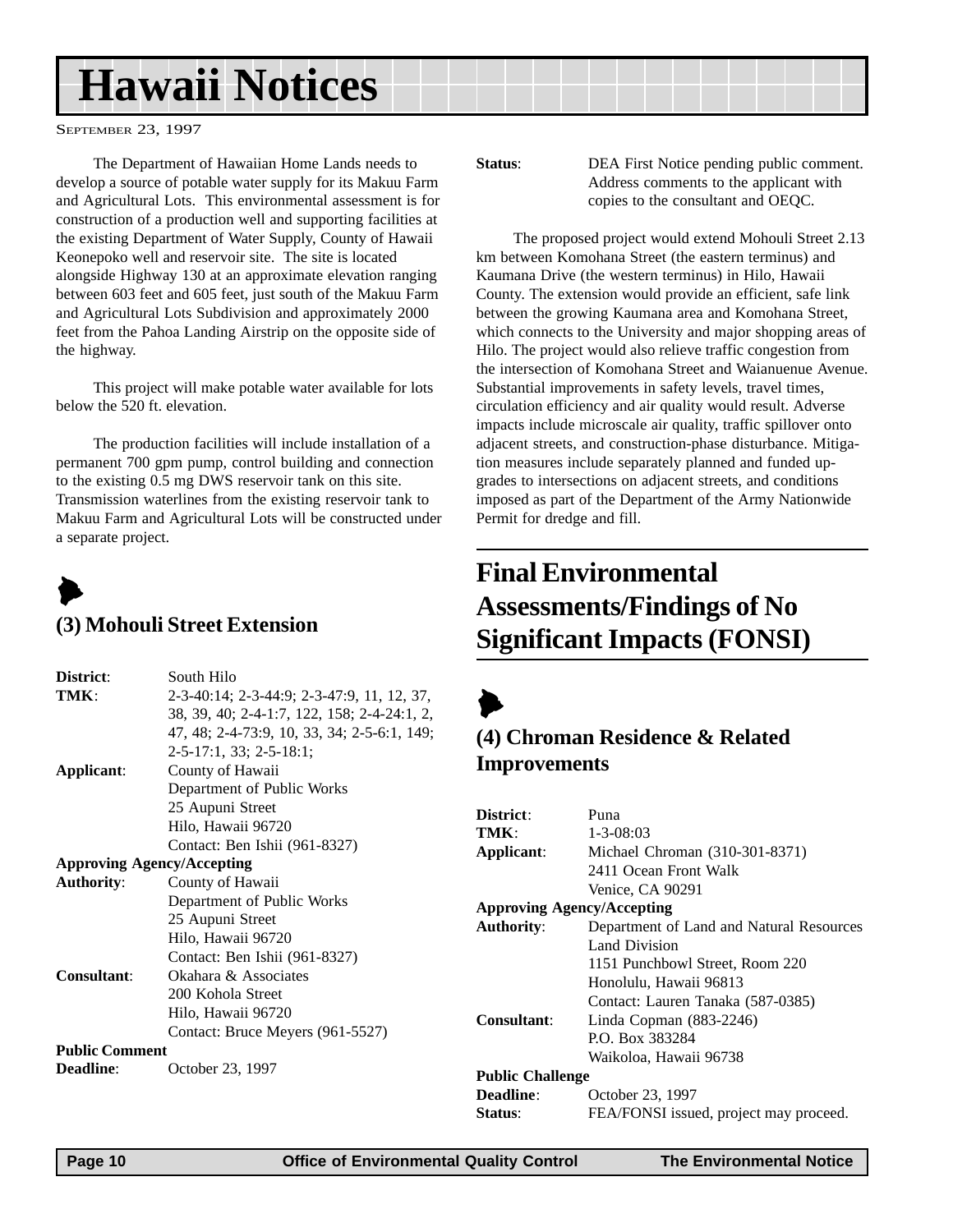## <span id="page-9-0"></span>**Hawaii Notices**

SEPTEMBER 23, 1997

The Department of Hawaiian Home Lands needs to develop a source of potable water supply for its Makuu Farm and Agricultural Lots. This environmental assessment is for construction of a production well and supporting facilities at the existing Department of Water Supply, County of Hawaii Keonepoko well and reservoir site. The site is located alongside Highway 130 at an approximate elevation ranging between 603 feet and 605 feet, just south of the Makuu Farm and Agricultural Lots Subdivision and approximately 2000 feet from the Pahoa Landing Airstrip on the opposite side of the highway.

This project will make potable water available for lots below the 520 ft. elevation.

The production facilities will include installation of a permanent 700 gpm pump, control building and connection to the existing 0.5 mg DWS reservoir tank on this site. Transmission waterlines from the existing reservoir tank to Makuu Farm and Agricultural Lots will be constructed under a separate project.

## $\blacktriangleright$

#### **(3) Mohouli Street Extension**

| District:                         | South Hilo                                  |
|-----------------------------------|---------------------------------------------|
| TMK:                              | 2-3-40:14; 2-3-44:9; 2-3-47:9, 11, 12, 37,  |
|                                   | 38, 39, 40; 2-4-1:7, 122, 158; 2-4-24:1, 2, |
|                                   | 47, 48; 2-4-73:9, 10, 33, 34; 2-5-6:1, 149; |
|                                   | $2-5-17:1, 33; 2-5-18:1;$                   |
| Applicant:                        | County of Hawaii                            |
|                                   | Department of Public Works                  |
|                                   | 25 Aupuni Street                            |
|                                   | Hilo, Hawaii 96720                          |
|                                   | Contact: Ben Ishii (961-8327)               |
| <b>Approving Agency/Accepting</b> |                                             |
| <b>Authority:</b>                 | County of Hawaii                            |
|                                   | Department of Public Works                  |
|                                   | 25 Aupuni Street                            |
|                                   | Hilo, Hawaii 96720                          |
|                                   | Contact: Ben Ishii (961-8327)               |
| Consultant:                       | Okahara & Associates                        |
|                                   | 200 Kohola Street                           |
|                                   | Hilo, Hawaii 96720                          |
|                                   | Contact: Bruce Meyers (961-5527)            |
| <b>Public Comment</b>             |                                             |
| <b>Deadline:</b>                  | October 23, 1997                            |
|                                   |                                             |

**Status:** DEA First Notice pending public comment. Address comments to the applicant with copies to the consultant and OEQC.

The proposed project would extend Mohouli Street 2.13 km between Komohana Street (the eastern terminus) and Kaumana Drive (the western terminus) in Hilo, Hawaii County. The extension would provide an efficient, safe link between the growing Kaumana area and Komohana Street, which connects to the University and major shopping areas of Hilo. The project would also relieve traffic congestion from the intersection of Komohana Street and Waianuenue Avenue. Substantial improvements in safety levels, travel times, circulation efficiency and air quality would result. Adverse impacts include microscale air quality, traffic spillover onto adjacent streets, and construction-phase disturbance. Mitigation measures include separately planned and funded upgrades to intersections on adjacent streets, and conditions imposed as part of the Department of the Army Nationwide Permit for dredge and fill.

### **Final Environmental Assessments/Findings of No Significant Impacts (FONSI)**

 $\blacktriangleright$ 

#### **(4) Chroman Residence & Related Improvements**

| Puna                                     |  |
|------------------------------------------|--|
| $1 - 3 - 08:03$                          |  |
| Michael Chroman (310-301-8371)           |  |
| 2411 Ocean Front Walk                    |  |
| Venice, CA 90291                         |  |
| <b>Approving Agency/Accepting</b>        |  |
| Department of Land and Natural Resources |  |
| Land Division                            |  |
| 1151 Punchbowl Street, Room 220          |  |
| Honolulu, Hawaii 96813                   |  |
| Contact: Lauren Tanaka (587-0385)        |  |
| Linda Copman $(883-2246)$                |  |
| P.O. Box 383284                          |  |
| Waikoloa, Hawaii 96738                   |  |
| <b>Public Challenge</b>                  |  |
| October 23, 1997                         |  |
| FEA/FONSI issued, project may proceed.   |  |
|                                          |  |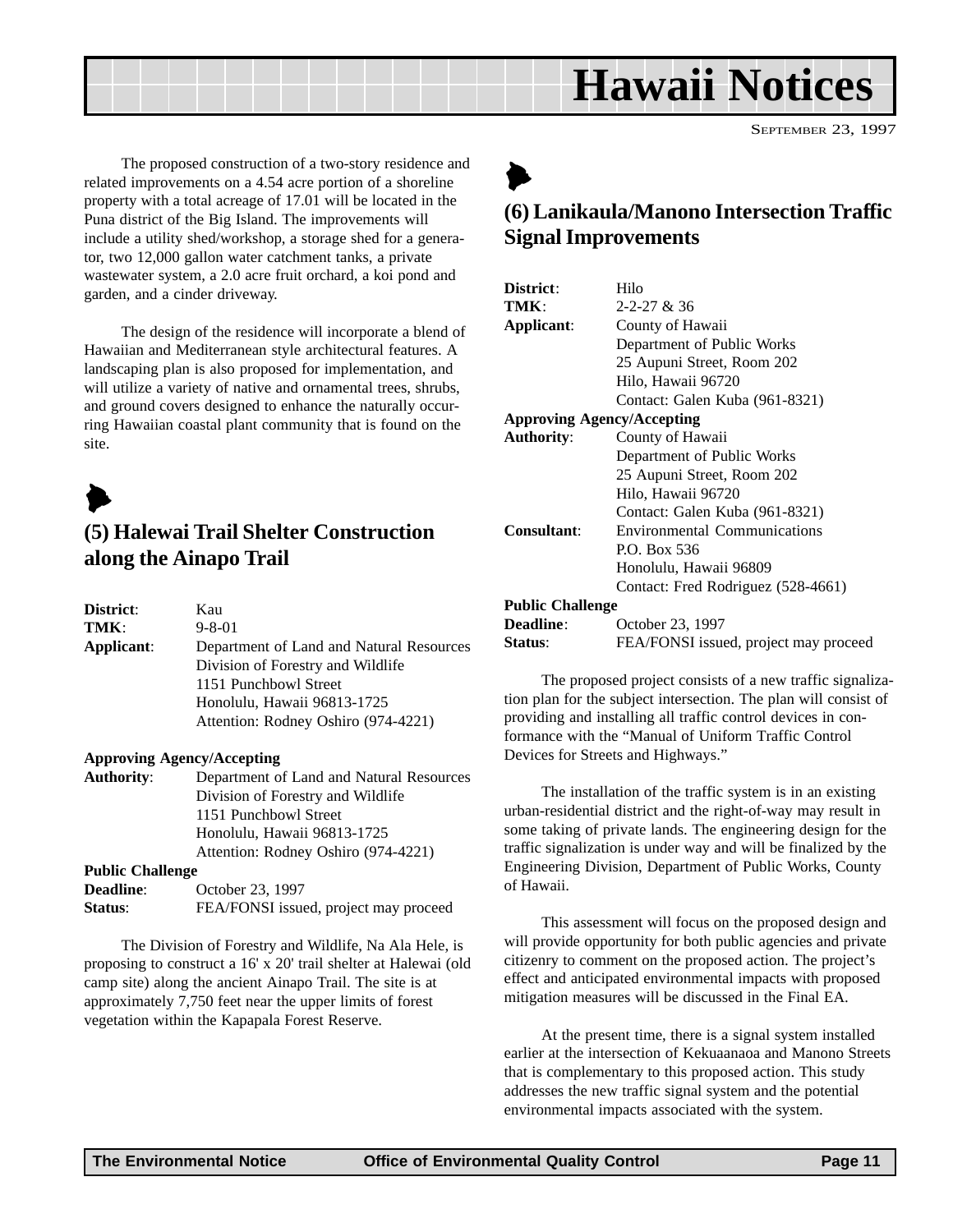## **Hawaii Notices**

SEPTEMBER 23, 1997

<span id="page-10-0"></span>The proposed construction of a two-story residence and related improvements on a 4.54 acre portion of a shoreline property with a total acreage of 17.01 will be located in the Puna district of the Big Island. The improvements will include a utility shed/workshop, a storage shed for a generator, two 12,000 gallon water catchment tanks, a private wastewater system, a 2.0 acre fruit orchard, a koi pond and garden, and a cinder driveway.

The design of the residence will incorporate a blend of Hawaiian and Mediterranean style architectural features. A landscaping plan is also proposed for implementation, and will utilize a variety of native and ornamental trees, shrubs, and ground covers designed to enhance the naturally occurring Hawaiian coastal plant community that is found on the site.

 $\blacktriangleright$ 

#### **(5) Halewai Trail Shelter Construction along the Ainapo Trail**

| <b>District</b> : | Kau                                      |
|-------------------|------------------------------------------|
| TMK:              | $9 - 8 - 01$                             |
| Applicant:        | Department of Land and Natural Resources |
|                   | Division of Forestry and Wildlife        |
|                   | 1151 Punchbowl Street                    |
|                   | Honolulu, Hawaii 96813-1725              |
|                   | Attention: Rodney Oshiro (974-4221)      |
|                   |                                          |

#### **Approving Agency/Accepting**

| <b>Authority:</b>                     | Department of Land and Natural Resources |
|---------------------------------------|------------------------------------------|
|                                       | Division of Forestry and Wildlife        |
|                                       | 1151 Punchbowl Street                    |
|                                       | Honolulu, Hawaii 96813-1725              |
|                                       | Attention: Rodney Oshiro (974-4221)      |
| $\mathbf{D}$ $\mathbf{E}$ . Challange |                                          |

| T ADIIC CHANGE   |                                       |
|------------------|---------------------------------------|
| <b>Deadline:</b> | October 23, 1997                      |
| Status:          | FEA/FONSI issued, project may proceed |

The Division of Forestry and Wildlife, Na Ala Hele, is proposing to construct a 16' x 20' trail shelter at Halewai (old camp site) along the ancient Ainapo Trail. The site is at approximately 7,750 feet near the upper limits of forest vegetation within the Kapapala Forest Reserve.

## $\blacktriangleright$

#### **(6) Lanikaula/Manono Intersection Traffic Signal Improvements**

| District:                         | Hilo                                  |
|-----------------------------------|---------------------------------------|
| TMK:                              | $2 - 2 - 27 & 36$                     |
| Applicant:                        | County of Hawaii                      |
|                                   | Department of Public Works            |
|                                   | 25 Aupuni Street, Room 202            |
|                                   | Hilo, Hawaii 96720                    |
|                                   | Contact: Galen Kuba (961-8321)        |
| <b>Approving Agency/Accepting</b> |                                       |
| <b>Authority:</b>                 | County of Hawaii                      |
|                                   | Department of Public Works            |
|                                   | 25 Aupuni Street, Room 202            |
|                                   | Hilo, Hawaii 96720                    |
|                                   | Contact: Galen Kuba (961-8321)        |
| Consultant:                       | <b>Environmental Communications</b>   |
|                                   | P.O. Box 536                          |
|                                   | Honolulu, Hawaii 96809                |
|                                   | Contact: Fred Rodriguez (528-4661)    |
| <b>Public Challenge</b>           |                                       |
| <b>Deadline:</b>                  | October 23, 1997                      |
| Status:                           | FEA/FONSI issued, project may proceed |

The proposed project consists of a new traffic signalization plan for the subject intersection. The plan will consist of providing and installing all traffic control devices in conformance with the "Manual of Uniform Traffic Control Devices for Streets and Highways."

The installation of the traffic system is in an existing urban-residential district and the right-of-way may result in some taking of private lands. The engineering design for the traffic signalization is under way and will be finalized by the Engineering Division, Department of Public Works, County of Hawaii.

This assessment will focus on the proposed design and will provide opportunity for both public agencies and private citizenry to comment on the proposed action. The project's effect and anticipated environmental impacts with proposed mitigation measures will be discussed in the Final EA.

At the present time, there is a signal system installed earlier at the intersection of Kekuaanaoa and Manono Streets that is complementary to this proposed action. This study addresses the new traffic signal system and the potential environmental impacts associated with the system.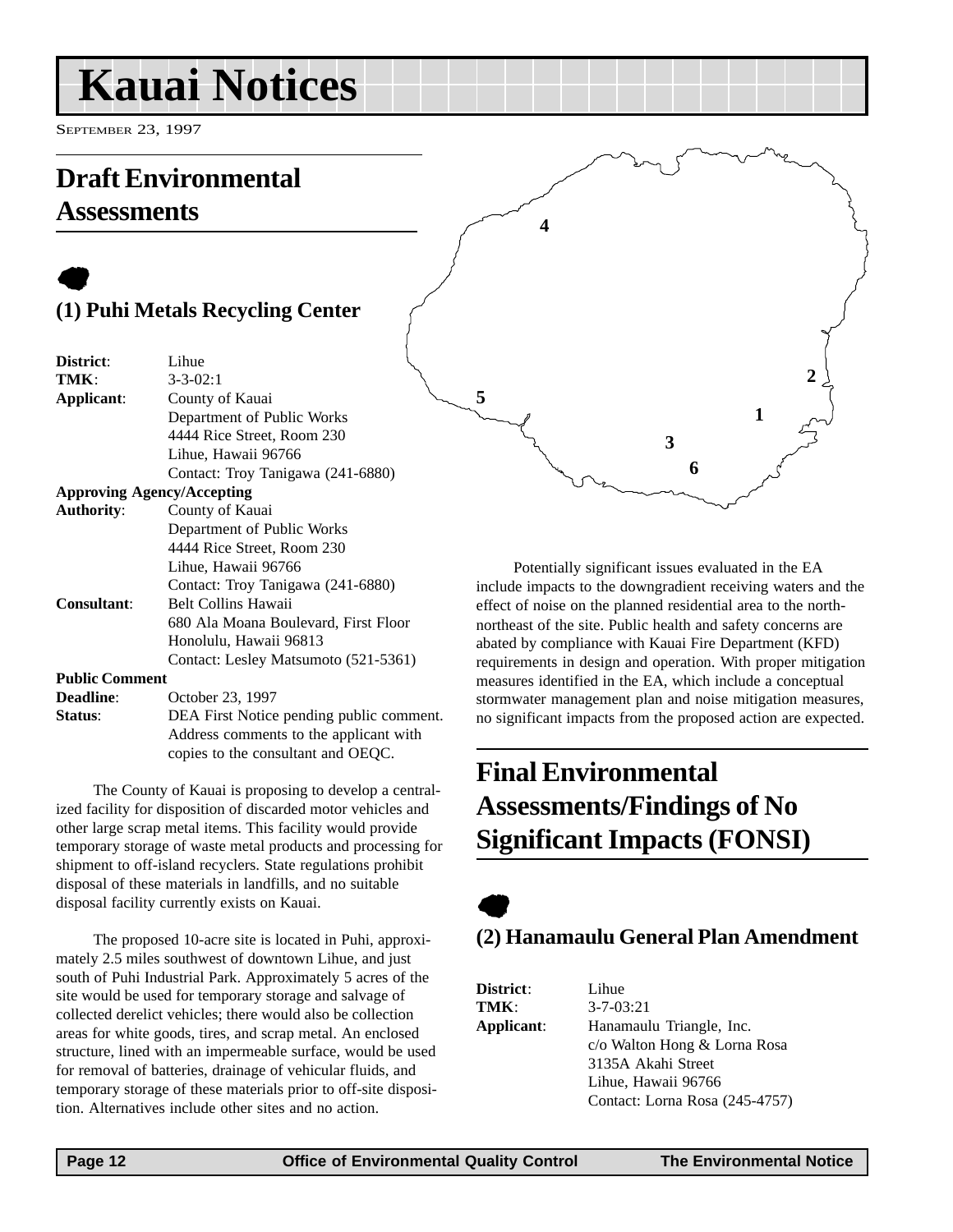## <span id="page-11-0"></span>**Kauai Notices**

SEPTEMBER 23, 1997

### **Draft Environmental Assessments**

### $\bullet$ **(1) Puhi Metals Recycling Center**

| District:             | Lihue                                    |
|-----------------------|------------------------------------------|
| TMK:                  | $3 - 3 - 02:1$                           |
| Applicant:            | County of Kauai                          |
|                       | Department of Public Works               |
|                       | 4444 Rice Street, Room 230               |
|                       | Lihue, Hawaii 96766                      |
|                       | Contact: Troy Tanigawa (241-6880)        |
|                       | <b>Approving Agency/Accepting</b>        |
| <b>Authority:</b>     | County of Kauai                          |
|                       | Department of Public Works               |
|                       | 4444 Rice Street, Room 230               |
|                       | Lihue, Hawaii 96766                      |
|                       | Contact: Troy Tanigawa (241-6880)        |
| <b>Consultant:</b>    | <b>Belt Collins Hawaii</b>               |
|                       | 680 Ala Moana Boulevard, First Floor     |
|                       | Honolulu, Hawaii 96813                   |
|                       | Contact: Lesley Matsumoto (521-5361)     |
| <b>Public Comment</b> |                                          |
| Deadline:             | October 23, 1997                         |
| Status:               | DEA First Notice pending public comment. |
|                       | Address comments to the applicant with   |

The County of Kauai is proposing to develop a centralized facility for disposition of discarded motor vehicles and other large scrap metal items. This facility would provide temporary storage of waste metal products and processing for shipment to off-island recyclers. State regulations prohibit disposal of these materials in landfills, and no suitable disposal facility currently exists on Kauai.

copies to the consultant and OEQC.

The proposed 10-acre site is located in Puhi, approximately 2.5 miles southwest of downtown Lihue, and just south of Puhi Industrial Park. Approximately 5 acres of the site would be used for temporary storage and salvage of collected derelict vehicles; there would also be collection areas for white goods, tires, and scrap metal. An enclosed structure, lined with an impermeable surface, would be used for removal of batteries, drainage of vehicular fluids, and temporary storage of these materials prior to off-site disposition. Alternatives include other sites and no action.

Potentially significant issues evaluated in the EA include impacts to the downgradient receiving waters and the effect of noise on the planned residential area to the northnortheast of the site. Public health and safety concerns are abated by compliance with Kauai Fire Department (KFD) requirements in design and operation. With proper mitigation measures identified in the EA, which include a conceptual stormwater management plan and noise mitigation measures, no significant impacts from the proposed action are expected.

**3**

**6**

**1**

**2**

**4**

**5**

### **Final Environmental Assessments/Findings of No Significant Impacts (FONSI)**

### $\bullet$ **(2) Hanamaulu General Plan Amendment**

| <b>District:</b> | Lihue                          |
|------------------|--------------------------------|
| TMK:             | $3 - 7 - 03:21$                |
| Applicant:       | Hanamaulu Triangle, Inc.       |
|                  | c/o Walton Hong & Lorna Rosa   |
|                  | 3135A Akahi Street             |
|                  | Lihue, Hawaii 96766            |
|                  | Contact: Lorna Rosa (245-4757) |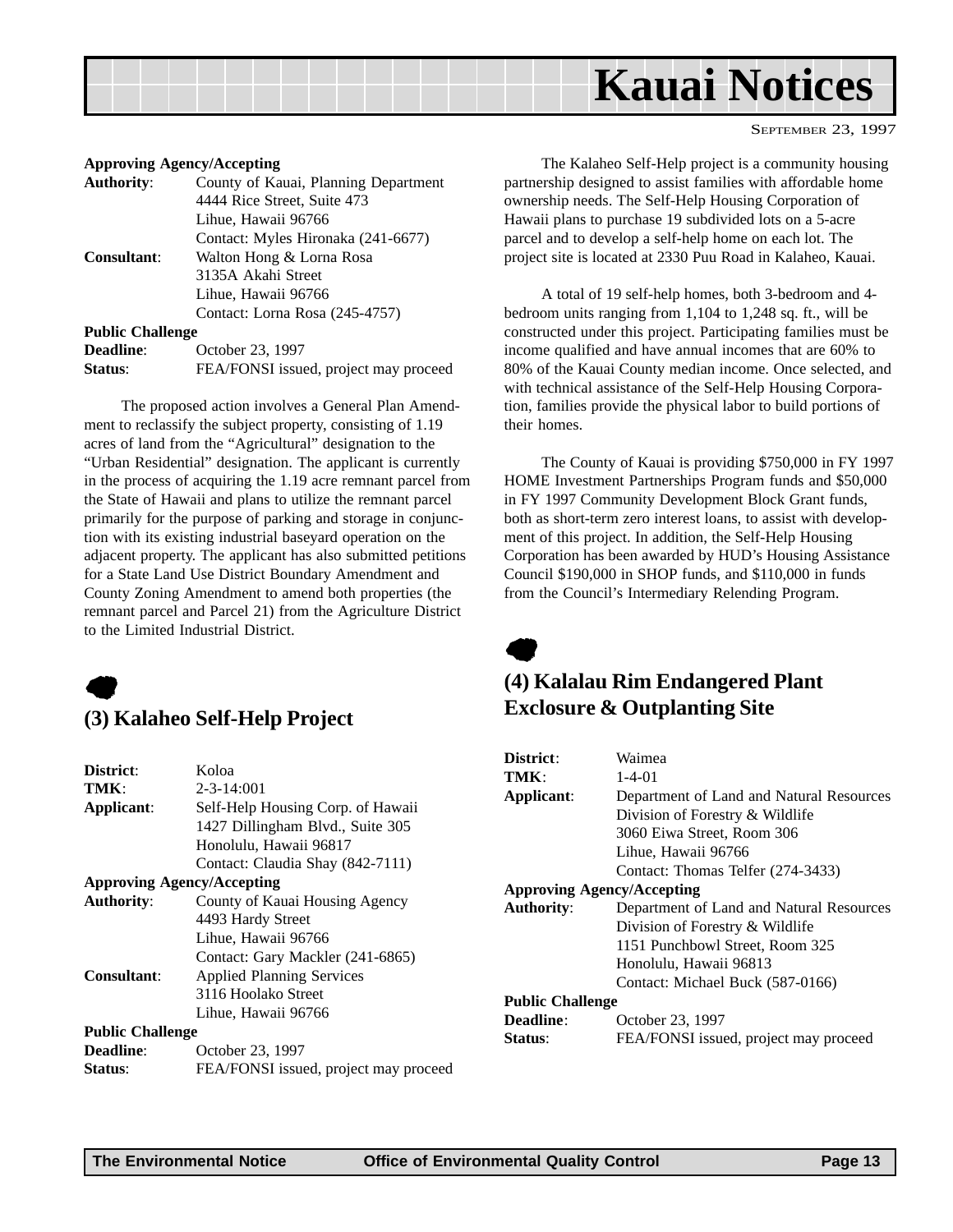<span id="page-12-0"></span>

#### **Approving Agency/Accepting**

| <b>Authority:</b>       | County of Kauai, Planning Department  |
|-------------------------|---------------------------------------|
|                         | 4444 Rice Street, Suite 473           |
|                         | Lihue, Hawaii 96766                   |
|                         | Contact: Myles Hironaka (241-6677)    |
| <b>Consultant:</b>      | Walton Hong & Lorna Rosa              |
|                         | 3135A Akahi Street                    |
|                         | Lihue, Hawaii 96766                   |
|                         | Contact: Lorna Rosa (245-4757)        |
| <b>Public Challenge</b> |                                       |
| <b>Deadline:</b>        | October 23, 1997                      |
| Status:                 | FEA/FONSI issued, project may proceed |
|                         |                                       |

The proposed action involves a General Plan Amendment to reclassify the subject property, consisting of 1.19 acres of land from the "Agricultural" designation to the "Urban Residential" designation. The applicant is currently in the process of acquiring the 1.19 acre remnant parcel from the State of Hawaii and plans to utilize the remnant parcel primarily for the purpose of parking and storage in conjunction with its existing industrial baseyard operation on the adjacent property. The applicant has also submitted petitions for a State Land Use District Boundary Amendment and County Zoning Amendment to amend both properties (the remnant parcel and Parcel 21) from the Agriculture District to the Limited Industrial District.



#### **(3) Kalaheo Self-Help Project**

| District:               | Koloa                                 |
|-------------------------|---------------------------------------|
| TMK:                    | $2 - 3 - 14:001$                      |
| Applicant:              | Self-Help Housing Corp. of Hawaii     |
|                         | 1427 Dillingham Blvd., Suite 305      |
|                         | Honolulu, Hawaii 96817                |
|                         | Contact: Claudia Shay (842-7111)      |
|                         | <b>Approving Agency/Accepting</b>     |
| <b>Authority:</b>       | County of Kauai Housing Agency        |
|                         | 4493 Hardy Street                     |
|                         | Lihue, Hawaii 96766                   |
|                         | Contact: Gary Mackler (241-6865)      |
| <b>Consultant:</b>      | <b>Applied Planning Services</b>      |
|                         | 3116 Hoolako Street                   |
|                         | Lihue, Hawaii 96766                   |
| <b>Public Challenge</b> |                                       |
| Deadline:               | October 23, 1997                      |
| Status:                 | FEA/FONSI issued, project may proceed |
|                         |                                       |

The Kalaheo Self-Help project is a community housing partnership designed to assist families with affordable home ownership needs. The Self-Help Housing Corporation of Hawaii plans to purchase 19 subdivided lots on a 5-acre parcel and to develop a self-help home on each lot. The project site is located at 2330 Puu Road in Kalaheo, Kauai.

SEPTEMBER 23, 1997

A total of 19 self-help homes, both 3-bedroom and 4 bedroom units ranging from 1,104 to 1,248 sq. ft., will be constructed under this project. Participating families must be income qualified and have annual incomes that are 60% to 80% of the Kauai County median income. Once selected, and with technical assistance of the Self-Help Housing Corporation, families provide the physical labor to build portions of their homes.

The County of Kauai is providing \$750,000 in FY 1997 HOME Investment Partnerships Program funds and \$50,000 in FY 1997 Community Development Block Grant funds, both as short-term zero interest loans, to assist with development of this project. In addition, the Self-Help Housing Corporation has been awarded by HUD's Housing Assistance Council \$190,000 in SHOP funds, and \$110,000 in funds from the Council's Intermediary Relending Program.



#### **(4) Kalalau Rim Endangered Plant Exclosure & Outplanting Site**

| District:                         | Waimea                                   |
|-----------------------------------|------------------------------------------|
| TMK :                             | $1 - 4 - 01$                             |
| Applicant:                        | Department of Land and Natural Resources |
|                                   | Division of Forestry & Wildlife          |
|                                   | 3060 Eiwa Street, Room 306               |
|                                   | Lihue, Hawaii 96766                      |
|                                   | Contact: Thomas Telfer (274-3433)        |
| <b>Approving Agency/Accepting</b> |                                          |
| <b>Authority:</b>                 | Department of Land and Natural Resources |
|                                   | Division of Forestry & Wildlife          |
|                                   | 1151 Punchbowl Street, Room 325          |
|                                   | Honolulu, Hawaii 96813                   |
|                                   | Contact: Michael Buck (587-0166)         |
| <b>Public Challenge</b>           |                                          |
| Deadline:                         | October 23, 1997                         |
| <b>Status:</b>                    | FEA/FONSI issued, project may proceed    |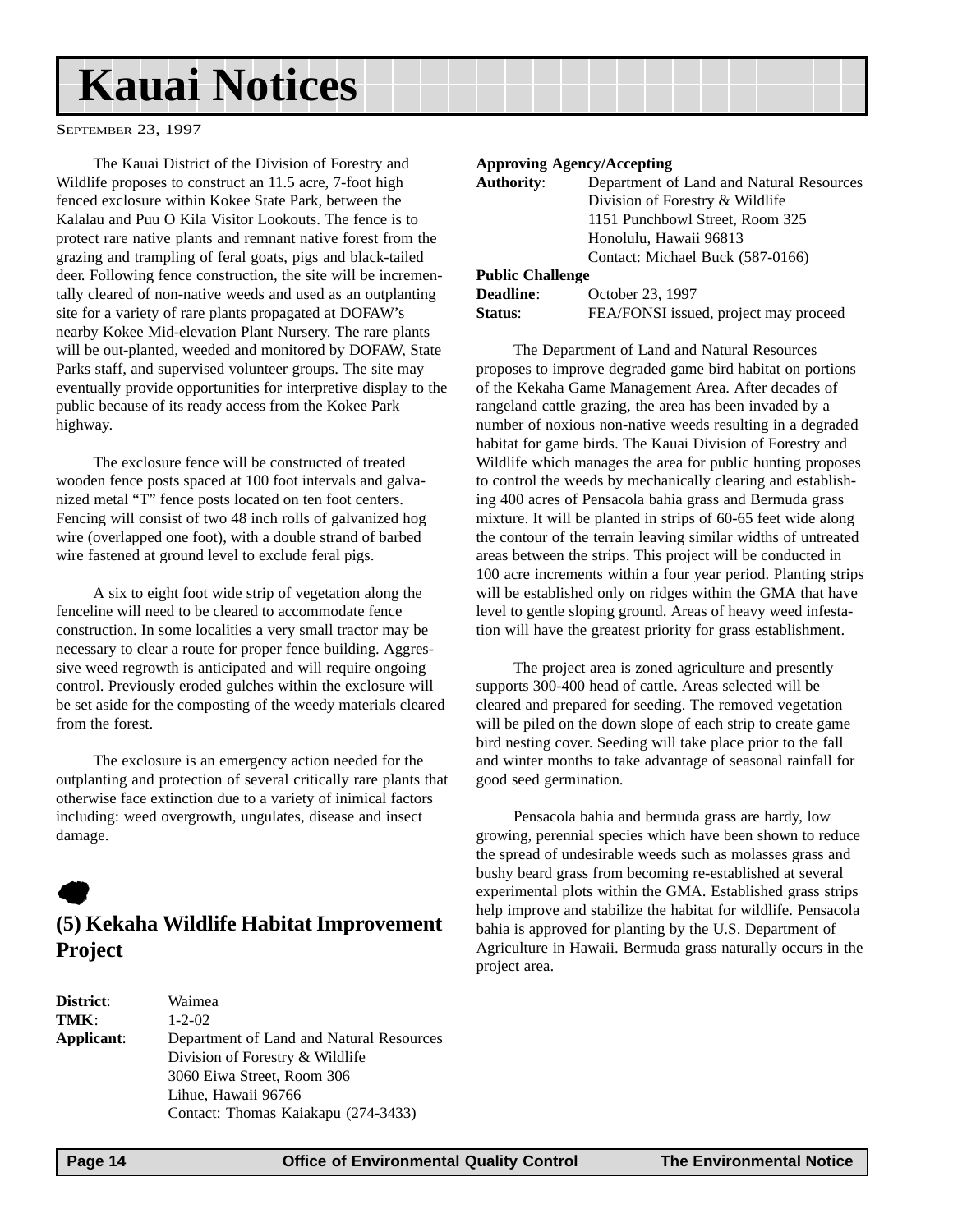## <span id="page-13-0"></span>**Kauai Notices**

SEPTEMBER 23, 1997

The Kauai District of the Division of Forestry and Wildlife proposes to construct an 11.5 acre, 7-foot high fenced exclosure within Kokee State Park, between the Kalalau and Puu O Kila Visitor Lookouts. The fence is to protect rare native plants and remnant native forest from the grazing and trampling of feral goats, pigs and black-tailed deer. Following fence construction, the site will be incrementally cleared of non-native weeds and used as an outplanting site for a variety of rare plants propagated at DOFAW's nearby Kokee Mid-elevation Plant Nursery. The rare plants will be out-planted, weeded and monitored by DOFAW, State Parks staff, and supervised volunteer groups. The site may eventually provide opportunities for interpretive display to the public because of its ready access from the Kokee Park highway.

The exclosure fence will be constructed of treated wooden fence posts spaced at 100 foot intervals and galvanized metal "T" fence posts located on ten foot centers. Fencing will consist of two 48 inch rolls of galvanized hog wire (overlapped one foot), with a double strand of barbed wire fastened at ground level to exclude feral pigs.

A six to eight foot wide strip of vegetation along the fenceline will need to be cleared to accommodate fence construction. In some localities a very small tractor may be necessary to clear a route for proper fence building. Aggressive weed regrowth is anticipated and will require ongoing control. Previously eroded gulches within the exclosure will be set aside for the composting of the weedy materials cleared from the forest.

The exclosure is an emergency action needed for the outplanting and protection of several critically rare plants that otherwise face extinction due to a variety of inimical factors including: weed overgrowth, ungulates, disease and insect damage.

### $\bullet$

#### **(5) Kekaha Wildlife Habitat Improvement Project**

| <b>District:</b> | Waimea                                   |
|------------------|------------------------------------------|
| TMK:             | $1 - 2 - 02$                             |
| Applicant:       | Department of Land and Natural Resources |
|                  | Division of Forestry & Wildlife          |
|                  | 3060 Eiwa Street, Room 306               |
|                  | Lihue, Hawaii 96766                      |
|                  | Contact: Thomas Kaiakapu (274-3433)      |
|                  |                                          |

#### **Approving Agency/Accepting**

| <b>Authority:</b>       | Department of Land and Natural Resources |  |  |
|-------------------------|------------------------------------------|--|--|
|                         | Division of Forestry & Wildlife          |  |  |
|                         | 1151 Punchbowl Street, Room 325          |  |  |
|                         | Honolulu, Hawaii 96813                   |  |  |
|                         | Contact: Michael Buck (587-0166)         |  |  |
| <b>Public Challenge</b> |                                          |  |  |
| $\mathbf{Doadina}$ .    | $\Omega$ ctober 23 $1007$                |  |  |

| <b>Deadline</b> : | October 23, 1997                      |
|-------------------|---------------------------------------|
| Status:           | FEA/FONSI issued, project may proceed |

The Department of Land and Natural Resources proposes to improve degraded game bird habitat on portions of the Kekaha Game Management Area. After decades of rangeland cattle grazing, the area has been invaded by a number of noxious non-native weeds resulting in a degraded habitat for game birds. The Kauai Division of Forestry and Wildlife which manages the area for public hunting proposes to control the weeds by mechanically clearing and establishing 400 acres of Pensacola bahia grass and Bermuda grass mixture. It will be planted in strips of 60-65 feet wide along the contour of the terrain leaving similar widths of untreated areas between the strips. This project will be conducted in 100 acre increments within a four year period. Planting strips will be established only on ridges within the GMA that have level to gentle sloping ground. Areas of heavy weed infestation will have the greatest priority for grass establishment.

The project area is zoned agriculture and presently supports 300-400 head of cattle. Areas selected will be cleared and prepared for seeding. The removed vegetation will be piled on the down slope of each strip to create game bird nesting cover. Seeding will take place prior to the fall and winter months to take advantage of seasonal rainfall for good seed germination.

Pensacola bahia and bermuda grass are hardy, low growing, perennial species which have been shown to reduce the spread of undesirable weeds such as molasses grass and bushy beard grass from becoming re-established at several experimental plots within the GMA. Established grass strips help improve and stabilize the habitat for wildlife. Pensacola bahia is approved for planting by the U.S. Department of Agriculture in Hawaii. Bermuda grass naturally occurs in the project area.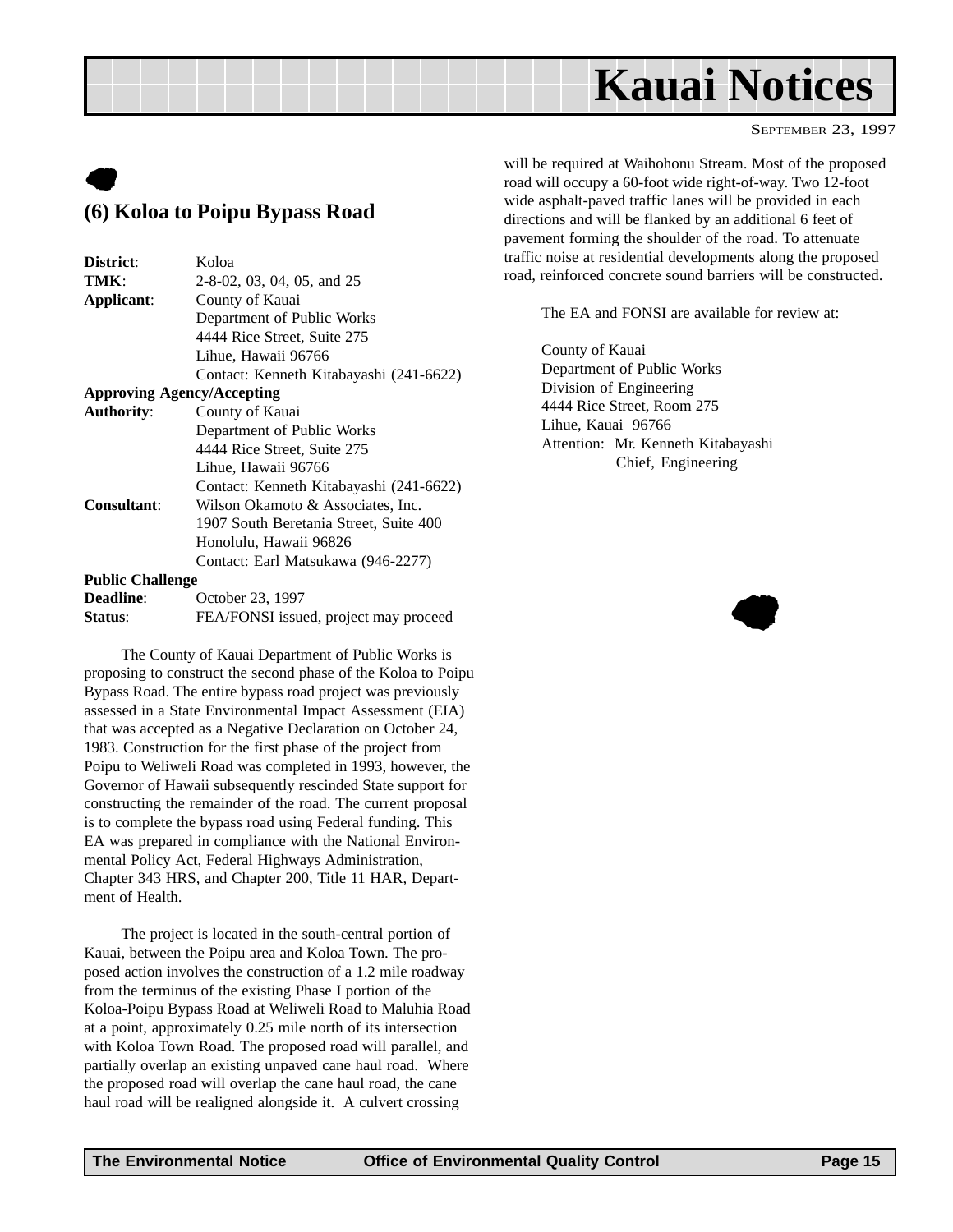## **Kauai Notices**

SEPTEMBER 23, 1997

### <span id="page-14-0"></span> $\bullet$ **(6) Koloa to Poipu Bypass Road**

| District:               | Koloa                                   |  |  |
|-------------------------|-----------------------------------------|--|--|
| TMK:                    | 2-8-02, 03, 04, 05, and 25              |  |  |
| Applicant:              | County of Kauai                         |  |  |
|                         | Department of Public Works              |  |  |
|                         | 4444 Rice Street, Suite 275             |  |  |
|                         | Lihue, Hawaii 96766                     |  |  |
|                         | Contact: Kenneth Kitabayashi (241-6622) |  |  |
|                         | <b>Approving Agency/Accepting</b>       |  |  |
| <b>Authority:</b>       | County of Kauai                         |  |  |
|                         | Department of Public Works              |  |  |
|                         | 4444 Rice Street, Suite 275             |  |  |
|                         | Lihue, Hawaii 96766                     |  |  |
|                         | Contact: Kenneth Kitabayashi (241-6622) |  |  |
| <b>Consultant:</b>      | Wilson Okamoto & Associates, Inc.       |  |  |
|                         | 1907 South Beretania Street, Suite 400  |  |  |
|                         | Honolulu, Hawaii 96826                  |  |  |
|                         | Contact: Earl Matsukawa (946-2277)      |  |  |
| <b>Public Challenge</b> |                                         |  |  |
| <b>Deadline:</b>        | October 23, 1997                        |  |  |
| Status:                 | FEA/FONSI issued, project may proceed   |  |  |

The County of Kauai Department of Public Works is proposing to construct the second phase of the Koloa to Poipu Bypass Road. The entire bypass road project was previously assessed in a State Environmental Impact Assessment (EIA) that was accepted as a Negative Declaration on October 24, 1983. Construction for the first phase of the project from Poipu to Weliweli Road was completed in 1993, however, the Governor of Hawaii subsequently rescinded State support for constructing the remainder of the road. The current proposal is to complete the bypass road using Federal funding. This EA was prepared in compliance with the National Environmental Policy Act, Federal Highways Administration, Chapter 343 HRS, and Chapter 200, Title 11 HAR, Department of Health.

The project is located in the south-central portion of Kauai, between the Poipu area and Koloa Town. The proposed action involves the construction of a 1.2 mile roadway from the terminus of the existing Phase I portion of the Koloa-Poipu Bypass Road at Weliweli Road to Maluhia Road at a point, approximately 0.25 mile north of its intersection with Koloa Town Road. The proposed road will parallel, and partially overlap an existing unpaved cane haul road. Where the proposed road will overlap the cane haul road, the cane haul road will be realigned alongside it. A culvert crossing

will be required at Waihohonu Stream. Most of the proposed road will occupy a 60-foot wide right-of-way. Two 12-foot wide asphalt-paved traffic lanes will be provided in each directions and will be flanked by an additional 6 feet of pavement forming the shoulder of the road. To attenuate traffic noise at residential developments along the proposed road, reinforced concrete sound barriers will be constructed.

The EA and FONSI are available for review at:

County of Kauai Department of Public Works Division of Engineering 4444 Rice Street, Room 275 Lihue, Kauai 96766 Attention: Mr. Kenneth Kitabayashi Chief, Engineering

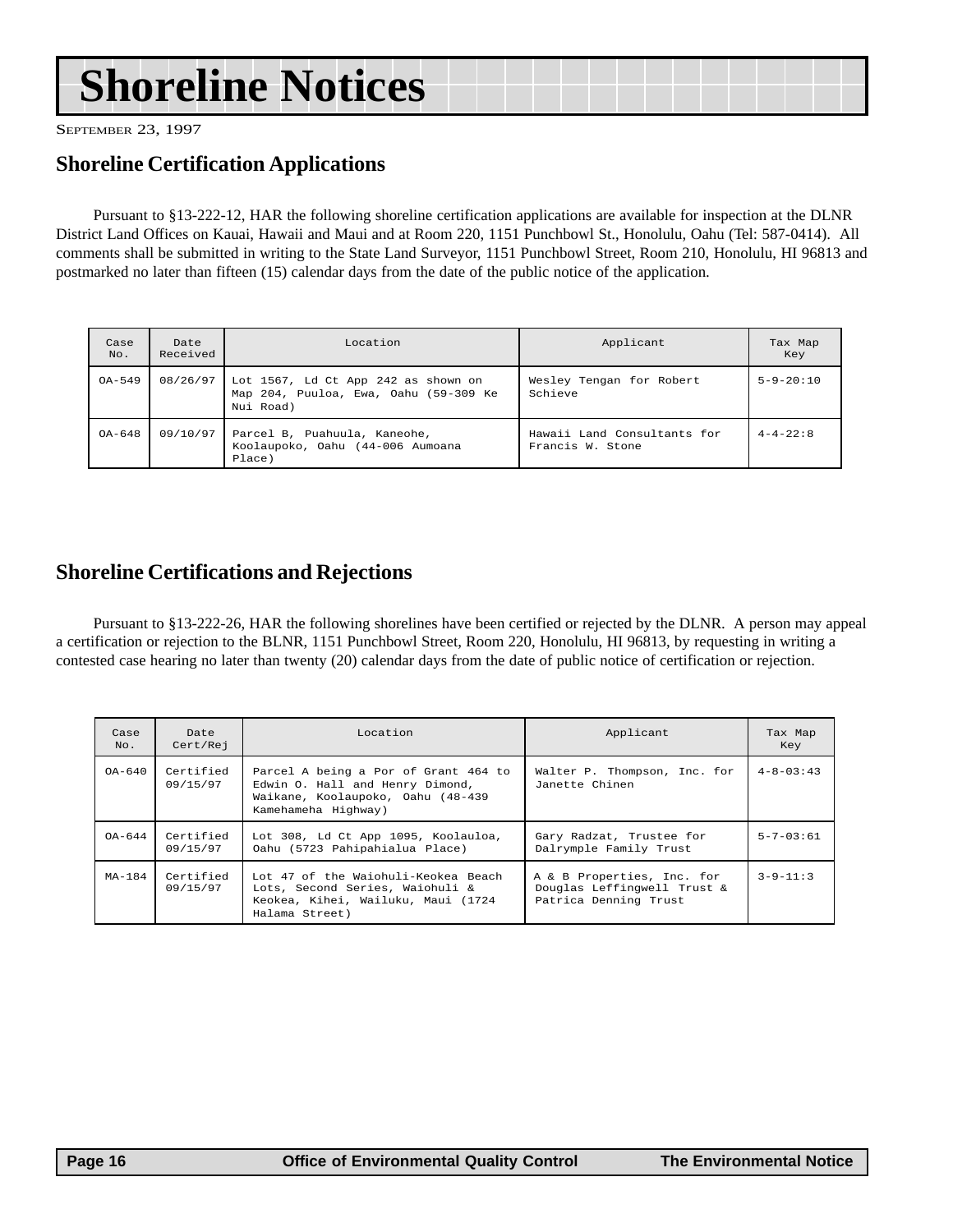## <span id="page-15-0"></span>**Shoreline Notices**

SEPTEMBER 23, 1997

#### **Shoreline Certification Applications**

Pursuant to §13-222-12, HAR the following shoreline certification applications are available for inspection at the DLNR District Land Offices on Kauai, Hawaii and Maui and at Room 220, 1151 Punchbowl St., Honolulu, Oahu (Tel: 587-0414). All comments shall be submitted in writing to the State Land Surveyor, 1151 Punchbowl Street, Room 210, Honolulu, HI 96813 and postmarked no later than fifteen (15) calendar days from the date of the public notice of the application.

| Case<br>No. | Date<br>Received | Location                                                                                  | Applicant                                       | Tax Map<br>Key    |
|-------------|------------------|-------------------------------------------------------------------------------------------|-------------------------------------------------|-------------------|
| $OA-549$    | 08/26/97         | Lot 1567, Ld Ct App 242 as shown on<br>Map 204, Puuloa, Ewa, Oahu (59-309 Ke<br>Nui Road) | Wesley Tengan for Robert<br>Schieve             | $5 - 9 - 20 : 10$ |
| $OA - 648$  | 09/10/97         | Parcel B, Puahuula, Kaneohe,<br>Koolaupoko, Oahu (44-006 Aumoana<br>Place)                | Hawaii Land Consultants for<br>Francis W. Stone | $4 - 4 - 22 : 8$  |

#### **Shoreline Certifications and Rejections**

Pursuant to §13-222-26, HAR the following shorelines have been certified or rejected by the DLNR. A person may appeal a certification or rejection to the BLNR, 1151 Punchbowl Street, Room 220, Honolulu, HI 96813, by requesting in writing a contested case hearing no later than twenty (20) calendar days from the date of public notice of certification or rejection.

| Case<br>No. | Date<br>Cert/Rej      | Location                                                                                                                            | Applicant                                                                          | Tax Map<br>Key  |
|-------------|-----------------------|-------------------------------------------------------------------------------------------------------------------------------------|------------------------------------------------------------------------------------|-----------------|
| $OA - 640$  | Certified<br>09/15/97 | Parcel A being a Por of Grant 464 to<br>Edwin O. Hall and Henry Dimond,<br>Waikane, Koolaupoko, Oahu (48-439<br>Kamehameha Highway) | Walter P. Thompson, Inc. for<br>Janette Chinen                                     | $4 - 8 - 03:43$ |
| OA-644      | Certified<br>09/15/97 | Lot 308, Ld Ct App 1095, Koolauloa,<br>Oahu (5723 Pahipahialua Place)                                                               | Gary Radzat, Trustee for<br>Dalrymple Family Trust                                 | $5 - 7 - 03:61$ |
| $MA-184$    | Certified<br>09/15/97 | Lot 47 of the Waiohuli-Keokea Beach<br>Lots, Second Series, Waiohuli &<br>Keokea, Kihei, Wailuku, Maui (1724<br>Halama Street)      | A & B Properties, Inc. for<br>Douglas Leffingwell Trust &<br>Patrica Denning Trust | $3 - 9 - 11:3$  |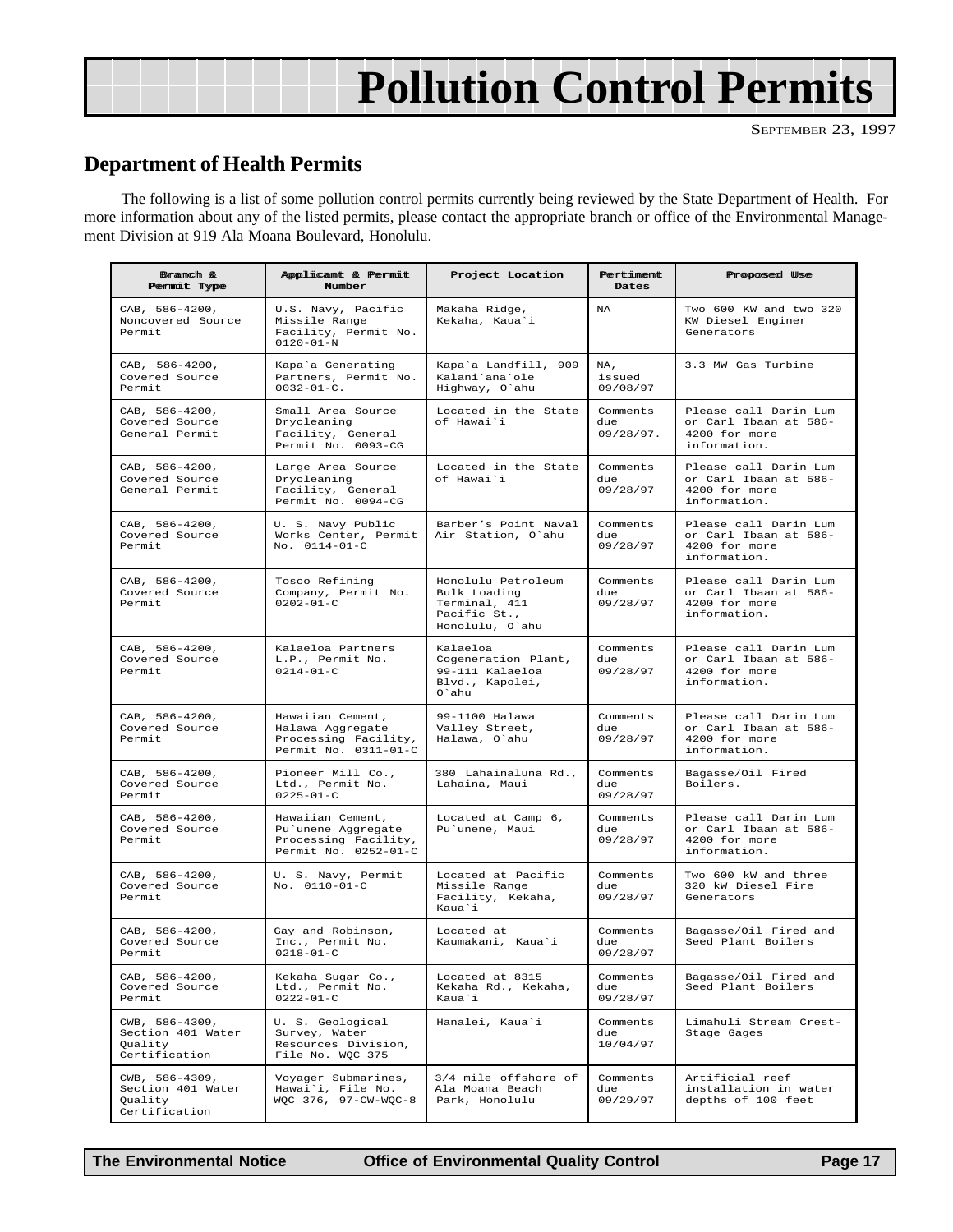## **Pollution Control Permits**

#### **Department of Health Permits**

The following is a list of some pollution control permits currently being reviewed by the State Department of Health. For more information about any of the listed permits, please contact the appropriate branch or office of the Environmental Management Division at 919 Ala Moana Boulevard, Honolulu.

| Branch &<br>Permit Type                                         | Applicant & Permit<br>Number                                                           | Project Location                                                                       | Pertiment<br>Dates           | Proposed Use                                                                    |
|-----------------------------------------------------------------|----------------------------------------------------------------------------------------|----------------------------------------------------------------------------------------|------------------------------|---------------------------------------------------------------------------------|
| CAB, 586-4200,<br>Noncovered Source<br>Permit                   | U.S. Navy, Pacific<br>Missile Range<br>Facility, Permit No.<br>$0120 - 01 - N$         | Makaha Ridge,<br>Kekaha, Kaua'i                                                        | <b>NA</b>                    | Two 600 KW and two 320<br>KW Diesel Enginer<br>Generators                       |
| CAB, 586-4200,<br>Covered Source<br>Permit                      | Kapa'a Generating<br>Partners, Permit No.<br>$0032 - 01 - C$ .                         | Kapa'a Landfill, 909<br>Kalani'ana'ole<br>Highway, O'ahu                               | NA,<br>issued<br>09/08/97    | 3.3 MW Gas Turbine                                                              |
| CAB, 586-4200,<br>Covered Source<br>General Permit              | Small Area Source<br>Drycleaning<br>Facility, General<br>Permit No. 0093-CG            | Located in the State<br>of Hawai`i                                                     | Comments<br>due<br>09/28/97. | Please call Darin Lum<br>or Carl Ibaan at 586-<br>4200 for more<br>information. |
| CAB, 586-4200,<br>Covered Source<br>General Permit              | Large Area Source<br>Drycleaning<br>Facility, General<br>Permit No. 0094-CG            | Located in the State<br>of Hawai'i                                                     | Comments<br>due<br>09/28/97  | Please call Darin Lum<br>or Carl Ibaan at 586-<br>4200 for more<br>information. |
| CAB, 586-4200,<br>Covered Source<br>Permit                      | U. S. Navy Public<br>Works Center, Permit<br>No. 0114-01-C                             | Barber's Point Naval<br>Air Station, O'ahu                                             | Comments<br>due<br>09/28/97  | Please call Darin Lum<br>or Carl Ibaan at 586-<br>4200 for more<br>information. |
| CAB, 586-4200,<br>Covered Source<br>Permit                      | Tosco Refining<br>Company, Permit No.<br>$0202 - 01 - C$                               | Honolulu Petroleum<br>Bulk Loading<br>Terminal, 411<br>Pacific St.,<br>Honolulu, O'ahu | Comments<br>due<br>09/28/97  | Please call Darin Lum<br>or Carl Ibaan at 586-<br>4200 for more<br>information. |
| CAB, 586-4200,<br>Covered Source<br>Permit                      | Kalaeloa Partners<br>L.P., Permit No.<br>$0214 - 01 - C$                               | Kalaeloa<br>Cogeneration Plant,<br>99-111 Kalaeloa<br>Blvd., Kapolei,<br>O`ahu         | Comments<br>due<br>09/28/97  | Please call Darin Lum<br>or Carl Ibaan at 586-<br>4200 for more<br>information. |
| CAB, 586-4200,<br>Covered Source<br>Permit                      | Hawaiian Cement,<br>Halawa Aggregate<br>Processing Facility,<br>Permit No. 0311-01-C   | 99-1100 Halawa<br>Valley Street,<br>Halawa, O'ahu                                      | Comments<br>due<br>09/28/97  | Please call Darin Lum<br>or Carl Ibaan at 586-<br>4200 for more<br>information. |
| CAB, 586-4200,<br>Covered Source<br>Permit                      | Pioneer Mill Co.,<br>Ltd., Permit No.<br>$0225 - 01 - C$                               | 380 Lahainaluna Rd.,<br>Lahaina, Maui                                                  | Comments<br>due<br>09/28/97  | Bagasse/Oil Fired<br>Boilers.                                                   |
| CAB, 586-4200,<br>Covered Source<br>Permit                      | Hawaiian Cement,<br>Pu'unene Aggregate<br>Processing Facility,<br>Permit No. 0252-01-C | Located at Camp 6,<br>Pu'unene, Maui                                                   | Comments<br>due<br>09/28/97  | Please call Darin Lum<br>or Carl Ibaan at 586-<br>4200 for more<br>information. |
| CAB, 586-4200,<br>Covered Source<br>Permit                      | U. S. Navy, Permit<br>No. 0110-01-C                                                    | Located at Pacific<br>Missile Range<br>Facility, Kekaha,<br>Kaua`i                     | Comments<br>due<br>09/28/97  | Two 600 kW and three<br>320 kW Diesel Fire<br>Generators                        |
| CAB, 586-4200,<br>Covered Source<br>Permit                      | Gay and Robinson,<br>Inc., Permit No.<br>$0218 - 01 - C$                               | Located at<br>Kaumakani, Kaua'i                                                        | Comments<br>due<br>09/28/97  | Bagasse/Oil Fired and<br>Seed Plant Boilers                                     |
| CAB, 586-4200,<br>Covered Source<br>Permit                      | Kekaha Sugar Co.,<br>Ltd., Permit No.<br>$0222 - 01 - C$                               | Located at 8315<br>Kekaha Rd., Kekaha,<br>Kaua`i                                       | Comments<br>due<br>09/28/97  | Bagasse/Oil Fired and<br>Seed Plant Boilers                                     |
| CWB, 586-4309,<br>Section 401 Water<br>Quality<br>Certification | U. S. Geological<br>Survey, Water<br>Resources Division,<br>File No. WQC 375           | Hanalei, Kaua'i                                                                        | Comments<br>due<br>10/04/97  | Limahuli Stream Crest-<br>Stage Gages                                           |
| CWB, 586-4309,<br>Section 401 Water<br>Quality<br>Certification | Voyager Submarines,<br>Hawai'i, File No.<br>WQC 376, 97-CW-WQC-8                       | 3/4 mile offshore of<br>Ala Moana Beach<br>Park, Honolulu                              | Comments<br>due<br>09/29/97  | Artificial reef<br>installation in water<br>depths of 100 feet                  |

**The Environmental Notice Office of Environmental Quality Control Page 17**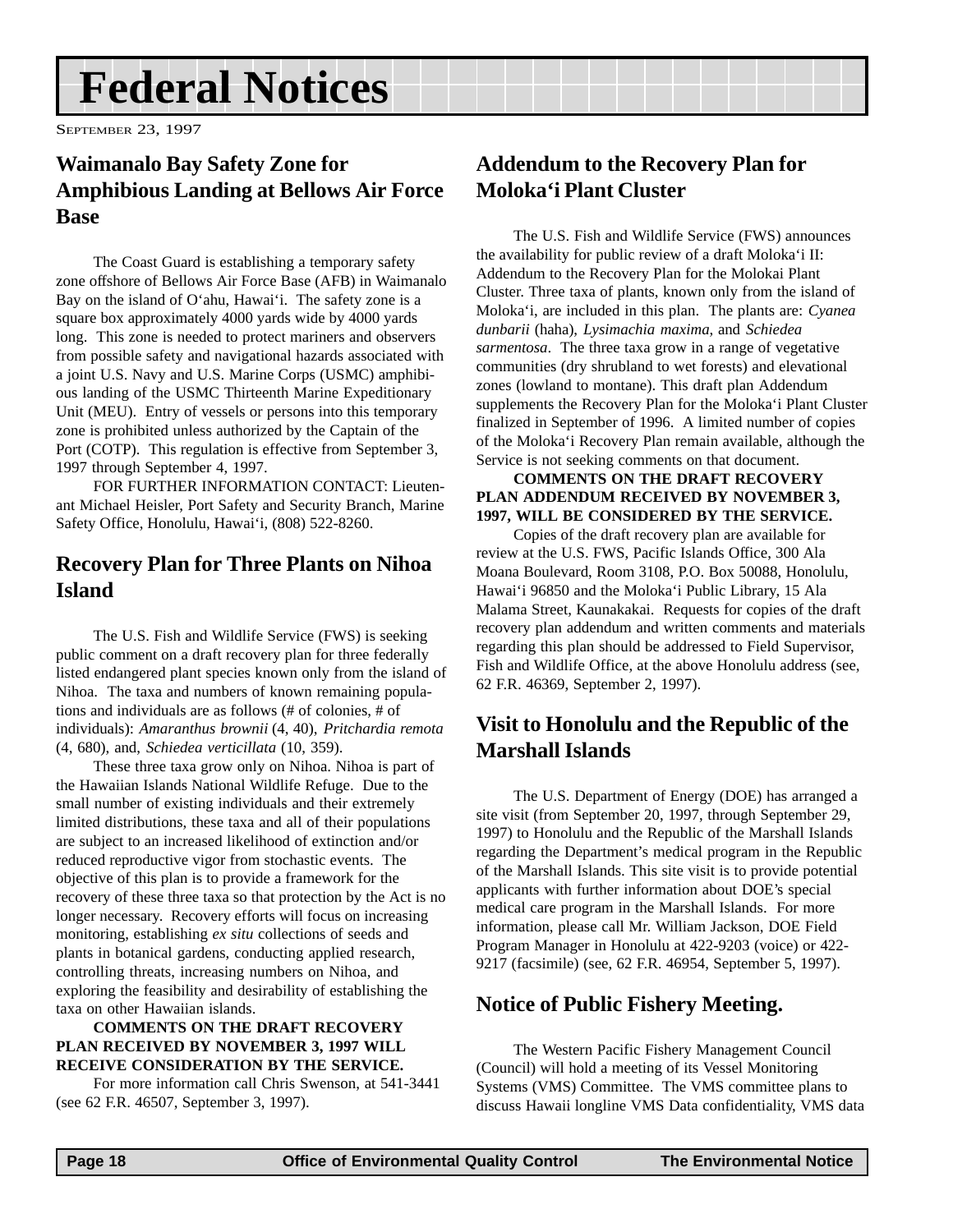## <span id="page-17-0"></span>**Federal Notices**

SEPTEMBER 23, 1997

#### **Waimanalo Bay Safety Zone for Amphibious Landing at Bellows Air Force Base**

The Coast Guard is establishing a temporary safety zone offshore of Bellows Air Force Base (AFB) in Waimanalo Bay on the island of O'ahu, Hawai'i. The safety zone is a square box approximately 4000 yards wide by 4000 yards long. This zone is needed to protect mariners and observers from possible safety and navigational hazards associated with a joint U.S. Navy and U.S. Marine Corps (USMC) amphibious landing of the USMC Thirteenth Marine Expeditionary Unit (MEU). Entry of vessels or persons into this temporary zone is prohibited unless authorized by the Captain of the Port (COTP). This regulation is effective from September 3, 1997 through September 4, 1997.

FOR FURTHER INFORMATION CONTACT: Lieutenant Michael Heisler, Port Safety and Security Branch, Marine Safety Office, Honolulu, Hawai'i, (808) 522-8260.

#### **Recovery Plan for Three Plants on Nihoa Island**

The U.S. Fish and Wildlife Service (FWS) is seeking public comment on a draft recovery plan for three federally listed endangered plant species known only from the island of Nihoa. The taxa and numbers of known remaining populations and individuals are as follows (# of colonies, # of individuals): *Amaranthus brownii* (4, 40), *Pritchardia remota* (4, 680), and, *Schiedea verticillata* (10, 359).

These three taxa grow only on Nihoa. Nihoa is part of the Hawaiian Islands National Wildlife Refuge. Due to the small number of existing individuals and their extremely limited distributions, these taxa and all of their populations are subject to an increased likelihood of extinction and/or reduced reproductive vigor from stochastic events. The objective of this plan is to provide a framework for the recovery of these three taxa so that protection by the Act is no longer necessary. Recovery efforts will focus on increasing monitoring, establishing *ex situ* collections of seeds and plants in botanical gardens, conducting applied research, controlling threats, increasing numbers on Nihoa, and exploring the feasibility and desirability of establishing the taxa on other Hawaiian islands.

#### **COMMENTS ON THE DRAFT RECOVERY PLAN RECEIVED BY NOVEMBER 3, 1997 WILL RECEIVE CONSIDERATION BY THE SERVICE.**

For more information call Chris Swenson, at 541-3441 (see 62 F.R. 46507, September 3, 1997).

#### **Addendum to the Recovery Plan for Moloka'i Plant Cluster**

The U.S. Fish and Wildlife Service (FWS) announces the availability for public review of a draft Moloka'i II: Addendum to the Recovery Plan for the Molokai Plant Cluster. Three taxa of plants, known only from the island of Moloka'i, are included in this plan. The plants are: *Cyanea dunbarii* (haha), *Lysimachia maxima*, and *Schiedea sarmentosa*. The three taxa grow in a range of vegetative communities (dry shrubland to wet forests) and elevational zones (lowland to montane). This draft plan Addendum supplements the Recovery Plan for the Moloka'i Plant Cluster finalized in September of 1996. A limited number of copies of the Moloka'i Recovery Plan remain available, although the Service is not seeking comments on that document.

#### **COMMENTS ON THE DRAFT RECOVERY PLAN ADDENDUM RECEIVED BY NOVEMBER 3, 1997, WILL BE CONSIDERED BY THE SERVICE.**

Copies of the draft recovery plan are available for review at the U.S. FWS, Pacific Islands Office, 300 Ala Moana Boulevard, Room 3108, P.O. Box 50088, Honolulu, Hawai'i 96850 and the Moloka'i Public Library, 15 Ala Malama Street, Kaunakakai. Requests for copies of the draft recovery plan addendum and written comments and materials regarding this plan should be addressed to Field Supervisor, Fish and Wildlife Office, at the above Honolulu address (see, 62 F.R. 46369, September 2, 1997).

#### **Visit to Honolulu and the Republic of the Marshall Islands**

The U.S. Department of Energy (DOE) has arranged a site visit (from September 20, 1997, through September 29, 1997) to Honolulu and the Republic of the Marshall Islands regarding the Department's medical program in the Republic of the Marshall Islands. This site visit is to provide potential applicants with further information about DOE's special medical care program in the Marshall Islands. For more information, please call Mr. William Jackson, DOE Field Program Manager in Honolulu at 422-9203 (voice) or 422- 9217 (facsimile) (see, 62 F.R. 46954, September 5, 1997).

#### **Notice of Public Fishery Meeting.**

The Western Pacific Fishery Management Council (Council) will hold a meeting of its Vessel Monitoring Systems (VMS) Committee. The VMS committee plans to discuss Hawaii longline VMS Data confidentiality, VMS data